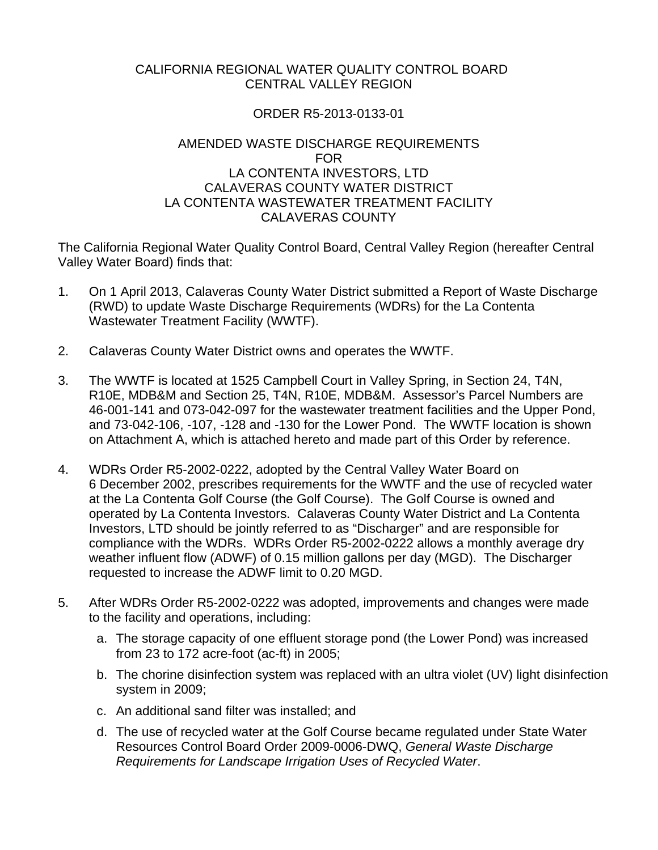## CALIFORNIA REGIONAL WATER QUALITY CONTROL BOARD CENTRAL VALLEY REGION

# ORDER R5-2013-0133-01

## AMENDED WASTE DISCHARGE REQUIREMENTS FOR LA CONTENTA INVESTORS, LTD CALAVERAS COUNTY WATER DISTRICT LA CONTENTA WASTEWATER TREATMENT FACILITY CALAVERAS COUNTY

The California Regional Water Quality Control Board, Central Valley Region (hereafter Central Valley Water Board) finds that:

- 1. On 1 April 2013, Calaveras County Water District submitted a Report of Waste Discharge (RWD) to update Waste Discharge Requirements (WDRs) for the La Contenta Wastewater Treatment Facility (WWTF).
- 2. Calaveras County Water District owns and operates the WWTF.
- 3. The WWTF is located at 1525 Campbell Court in Valley Spring, in Section 24, T4N, R10E, MDB&M and Section 25, T4N, R10E, MDB&M. Assessor's Parcel Numbers are 46-001-141 and 073-042-097 for the wastewater treatment facilities and the Upper Pond, and 73-042-106, -107, -128 and -130 for the Lower Pond. The WWTF location is shown on Attachment A, which is attached hereto and made part of this Order by reference.
- 4. WDRs Order R5-2002-0222, adopted by the Central Valley Water Board on 6 December 2002, prescribes requirements for the WWTF and the use of recycled water at the La Contenta Golf Course (the Golf Course). The Golf Course is owned and operated by La Contenta Investors. Calaveras County Water District and La Contenta Investors, LTD should be jointly referred to as "Discharger" and are responsible for compliance with the WDRs. WDRs Order R5-2002-0222 allows a monthly average dry weather influent flow (ADWF) of 0.15 million gallons per day (MGD). The Discharger requested to increase the ADWF limit to 0.20 MGD.
- 5. After WDRs Order R5-2002-0222 was adopted, improvements and changes were made to the facility and operations, including:
	- a. The storage capacity of one effluent storage pond (the Lower Pond) was increased from 23 to 172 acre-foot (ac-ft) in 2005;
	- b. The chorine disinfection system was replaced with an ultra violet (UV) light disinfection system in 2009;
	- c. An additional sand filter was installed; and
	- d. The use of recycled water at the Golf Course became regulated under State Water Resources Control Board Order 2009-0006-DWQ, *General Waste Discharge Requirements for Landscape Irrigation Uses of Recycled Water*.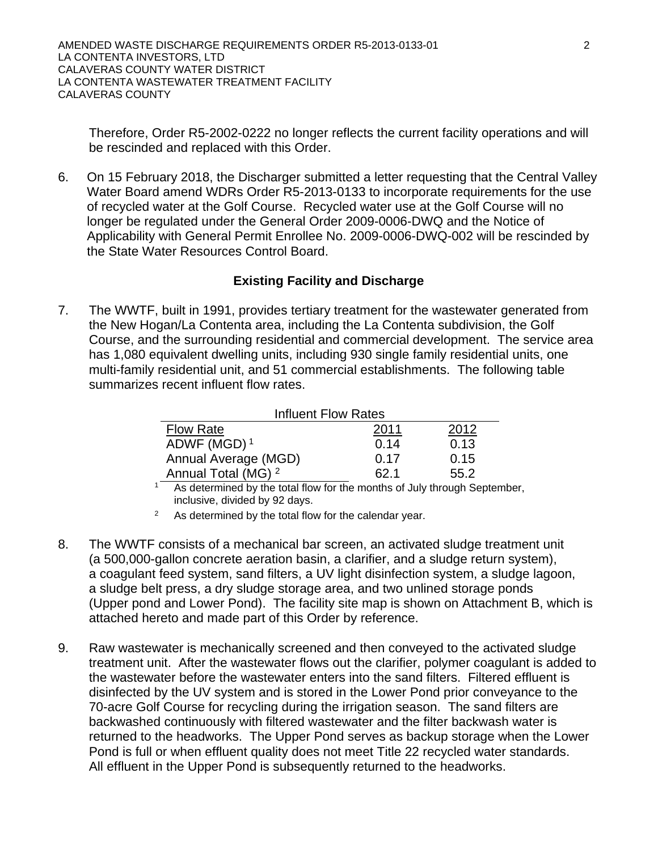Therefore, Order R5-2002-0222 no longer reflects the current facility operations and will be rescinded and replaced with this Order.

6. On 15 February 2018, the Discharger submitted a letter requesting that the Central Valley Water Board amend WDRs Order R5-2013-0133 to incorporate requirements for the use of recycled water at the Golf Course. Recycled water use at the Golf Course will no longer be regulated under the General Order 2009-0006-DWQ and the Notice of Applicability with General Permit Enrollee No. 2009-0006-DWQ-002 will be rescinded by the State Water Resources Control Board.

# **Existing Facility and Discharge**

7. The WWTF, built in 1991, provides tertiary treatment for the wastewater generated from the New Hogan/La Contenta area, including the La Contenta subdivision, the Golf Course, and the surrounding residential and commercial development. The service area has 1,080 equivalent dwelling units, including 930 single family residential units, one multi-family residential unit, and 51 commercial establishments. The following table summarizes recent influent flow rates.

| Influent Flow Rates            |      |      |  |  |  |
|--------------------------------|------|------|--|--|--|
| <b>Flow Rate</b>               | 2011 | 2012 |  |  |  |
| ADWF (MGD) <sup>1</sup>        | 0.14 | 0.13 |  |  |  |
| Annual Average (MGD)           | 0.17 | 0.15 |  |  |  |
| Annual Total (MG) <sup>2</sup> | 62.1 | 55.2 |  |  |  |
| .                              |      |      |  |  |  |

<sup>1</sup> As determined by the total flow for the months of July through September, inclusive, divided by 92 days.

- $2^{\circ}$  As determined by the total flow for the calendar year.
- 8. The WWTF consists of a mechanical bar screen, an activated sludge treatment unit (a 500,000-gallon concrete aeration basin, a clarifier, and a sludge return system), a coagulant feed system, sand filters, a UV light disinfection system, a sludge lagoon, a sludge belt press, a dry sludge storage area, and two unlined storage ponds (Upper pond and Lower Pond). The facility site map is shown on Attachment B, which is attached hereto and made part of this Order by reference.
- 9. Raw wastewater is mechanically screened and then conveyed to the activated sludge treatment unit. After the wastewater flows out the clarifier, polymer coagulant is added to the wastewater before the wastewater enters into the sand filters. Filtered effluent is disinfected by the UV system and is stored in the Lower Pond prior conveyance to the 70-acre Golf Course for recycling during the irrigation season. The sand filters are backwashed continuously with filtered wastewater and the filter backwash water is returned to the headworks. The Upper Pond serves as backup storage when the Lower Pond is full or when effluent quality does not meet Title 22 recycled water standards. All effluent in the Upper Pond is subsequently returned to the headworks.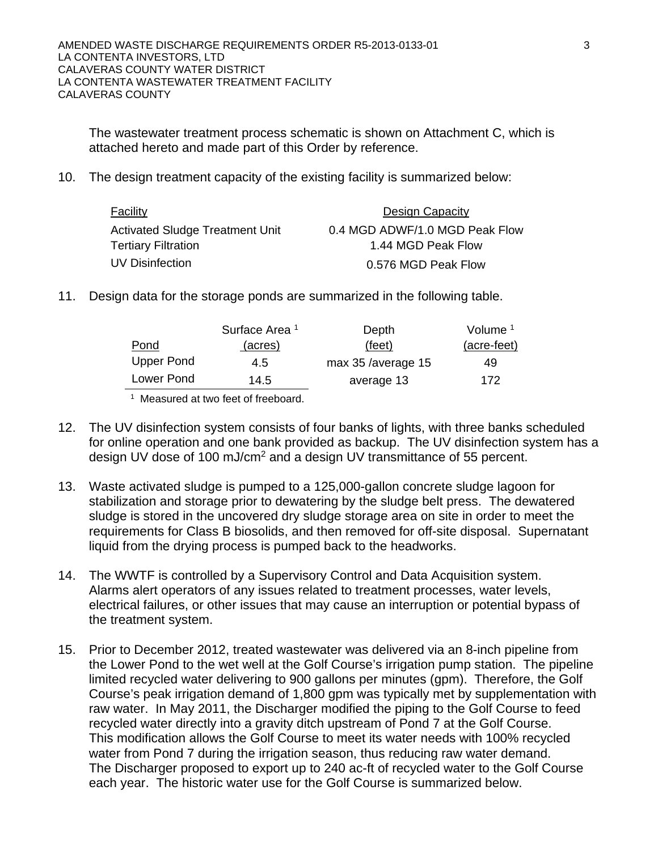The wastewater treatment process schematic is shown on Attachment C, which is attached hereto and made part of this Order by reference.

10. The design treatment capacity of the existing facility is summarized below:

| Facility                        | Design Capacity                |
|---------------------------------|--------------------------------|
| Activated Sludge Treatment Unit | 0.4 MGD ADWF/1.0 MGD Peak Flow |
| Tertiary Filtration             | 1.44 MGD Peak Flow             |
| UV Disinfection                 | 0.576 MGD Peak Flow            |

11. Design data for the storage ponds are summarized in the following table.

|                   | Surface Area <sup>1</sup> | Depth              | Volume <sup>1</sup> |
|-------------------|---------------------------|--------------------|---------------------|
| Pond              | (acres)                   | (feet)             | (acre-feet)         |
| <b>Upper Pond</b> | 4.5                       | max 35 /average 15 | 49                  |
| Lower Pond        | 14.5                      | average 13         | 172                 |

<sup>1</sup> Measured at two feet of freeboard

- 12. The UV disinfection system consists of four banks of lights, with three banks scheduled for online operation and one bank provided as backup. The UV disinfection system has a design UV dose of 100 mJ/cm2 and a design UV transmittance of 55 percent.
- 13. Waste activated sludge is pumped to a 125,000-gallon concrete sludge lagoon for stabilization and storage prior to dewatering by the sludge belt press. The dewatered sludge is stored in the uncovered dry sludge storage area on site in order to meet the requirements for Class B biosolids, and then removed for off-site disposal. Supernatant liquid from the drying process is pumped back to the headworks.
- 14. The WWTF is controlled by a Supervisory Control and Data Acquisition system. Alarms alert operators of any issues related to treatment processes, water levels, electrical failures, or other issues that may cause an interruption or potential bypass of the treatment system.
- 15. Prior to December 2012, treated wastewater was delivered via an 8-inch pipeline from the Lower Pond to the wet well at the Golf Course's irrigation pump station. The pipeline limited recycled water delivering to 900 gallons per minutes (gpm). Therefore, the Golf Course's peak irrigation demand of 1,800 gpm was typically met by supplementation with raw water. In May 2011, the Discharger modified the piping to the Golf Course to feed recycled water directly into a gravity ditch upstream of Pond 7 at the Golf Course. This modification allows the Golf Course to meet its water needs with 100% recycled water from Pond 7 during the irrigation season, thus reducing raw water demand. The Discharger proposed to export up to 240 ac-ft of recycled water to the Golf Course each year. The historic water use for the Golf Course is summarized below.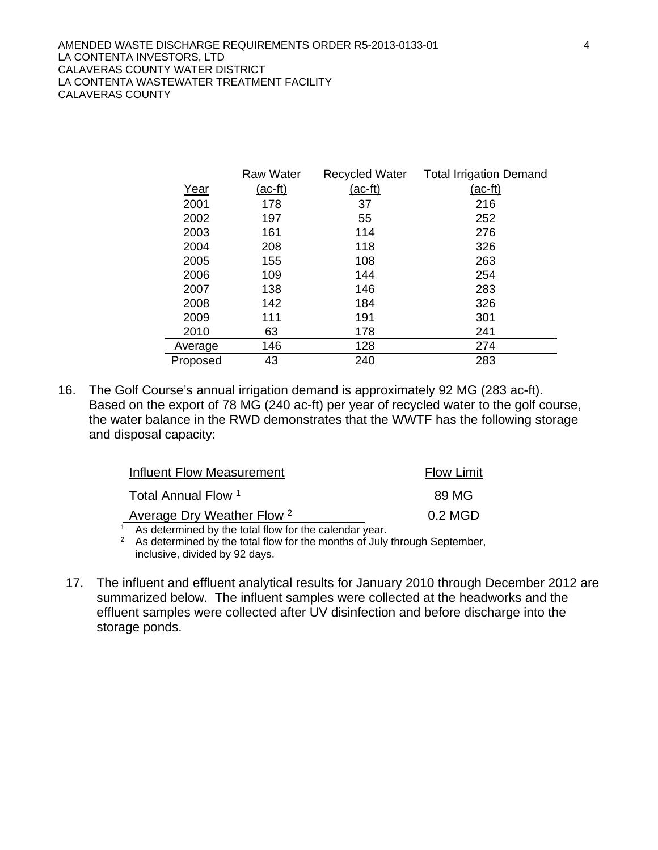|          | <b>Raw Water</b> | Recycled Water | <b>Total Irrigation Demand</b> |
|----------|------------------|----------------|--------------------------------|
| Year     | <u>(ac-ft)</u>   | <u>(ac-ft)</u> | <u>(ac-ft)</u>                 |
| 2001     | 178              | 37             | 216                            |
| 2002     | 197              | 55             | 252                            |
| 2003     | 161              | 114            | 276                            |
| 2004     | 208              | 118            | 326                            |
| 2005     | 155              | 108            | 263                            |
| 2006     | 109              | 144            | 254                            |
| 2007     | 138              | 146            | 283                            |
| 2008     | 142              | 184            | 326                            |
| 2009     | 111              | 191            | 301                            |
| 2010     | 63               | 178            | 241                            |
| Average  | 146              | 128            | 274                            |
| Proposed | 43               | 240            | 283                            |

16. The Golf Course's annual irrigation demand is approximately 92 MG (283 ac-ft). Based on the export of 78 MG (240 ac-ft) per year of recycled water to the golf course, the water balance in the RWD demonstrates that the WWTF has the following storage and disposal capacity:

| Influent Flow Measurement                             | <b>Flow Limit</b> |  |  |
|-------------------------------------------------------|-------------------|--|--|
| Total Annual Flow 1                                   | 89 MG             |  |  |
| Average Dry Weather Flow <sup>2</sup>                 | $0.2$ MGD         |  |  |
| As determined by the total flow for the calendar year |                   |  |  |

<sup>1</sup> As determined by the total flow for the calendar year.

<sup>2</sup> As determined by the total flow for the months of July through September, inclusive, divided by 92 days.

17. The influent and effluent analytical results for January 2010 through December 2012 are summarized below. The influent samples were collected at the headworks and the effluent samples were collected after UV disinfection and before discharge into the storage ponds.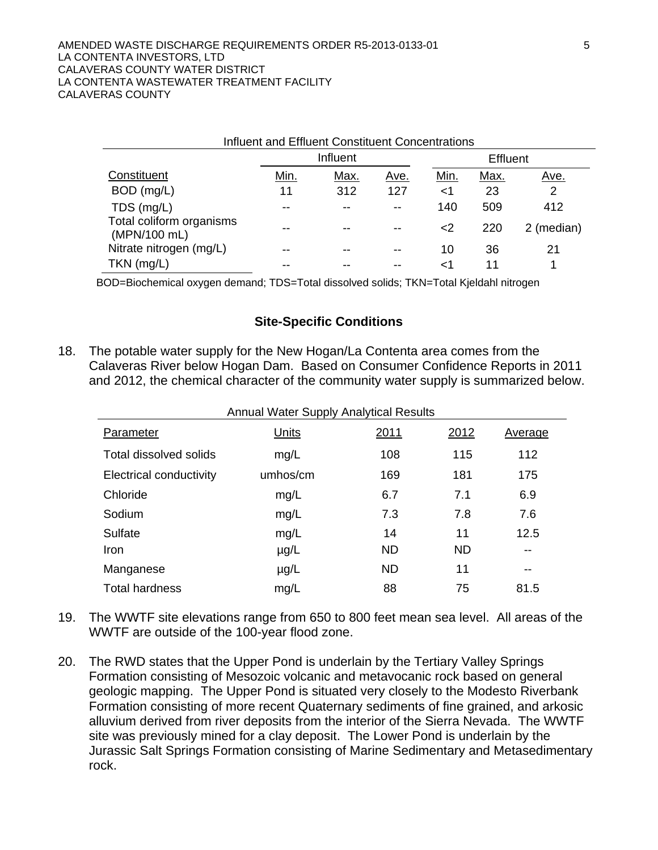| Influent and Effluent Constituent Concentrations |      |      |      |                 |      |             |
|--------------------------------------------------|------|------|------|-----------------|------|-------------|
|                                                  |      |      |      | <b>Effluent</b> |      |             |
| Constituent                                      | Min. | Max. | Ave. | Min.            | Max. | <u>Ave.</u> |
| BOD (mg/L)                                       | 11   | 312  | 127  | ا>              | 23   | 2           |
| TDS (mg/L)                                       | --   |      |      | 140             | 509  | 412         |
| Total coliform organisms<br>(MPN/100 mL)         |      |      |      | $<$ 2           | 220  | 2 (median)  |
| Nitrate nitrogen (mg/L)                          | --   |      |      | 10              | 36   | 21          |
| $TKN$ (mg/L)                                     |      |      |      | ا>              |      |             |

BOD=Biochemical oxygen demand; TDS=Total dissolved solids; TKN=Total Kjeldahl nitrogen

#### **Site-Specific Conditions**

18. The potable water supply for the New Hogan/La Contenta area comes from the Calaveras River below Hogan Dam. Based on Consumer Confidence Reports in 2011 and 2012, the chemical character of the community water supply is summarized below.

| <b>Annual Water Supply Analytical Results</b> |              |              |           |         |  |  |
|-----------------------------------------------|--------------|--------------|-----------|---------|--|--|
| Parameter                                     | <b>Units</b> | <u> 2011</u> | 2012      | Average |  |  |
| Total dissolved solids                        | mg/L         | 108          | 115       | 112     |  |  |
| Electrical conductivity                       | umhos/cm     | 169          | 181       | 175     |  |  |
| Chloride                                      | mg/L         | 6.7          | 7.1       | 6.9     |  |  |
| Sodium                                        | mg/L         | 7.3          | 7.8       | 7.6     |  |  |
| Sulfate                                       | mg/L         | 14           | 11        | 12.5    |  |  |
| <b>Iron</b>                                   | $\mu$ g/L    | <b>ND</b>    | <b>ND</b> |         |  |  |
| Manganese                                     | $\mu$ g/L    | <b>ND</b>    | 11        | --      |  |  |
| <b>Total hardness</b>                         | mg/L         | 88           | 75        | 81.5    |  |  |

- 19. The WWTF site elevations range from 650 to 800 feet mean sea level. All areas of the WWTF are outside of the 100-year flood zone.
- 20. The RWD states that the Upper Pond is underlain by the Tertiary Valley Springs Formation consisting of Mesozoic volcanic and metavocanic rock based on general geologic mapping. The Upper Pond is situated very closely to the Modesto Riverbank Formation consisting of more recent Quaternary sediments of fine grained, and arkosic alluvium derived from river deposits from the interior of the Sierra Nevada. The WWTF site was previously mined for a clay deposit. The Lower Pond is underlain by the Jurassic Salt Springs Formation consisting of Marine Sedimentary and Metasedimentary rock.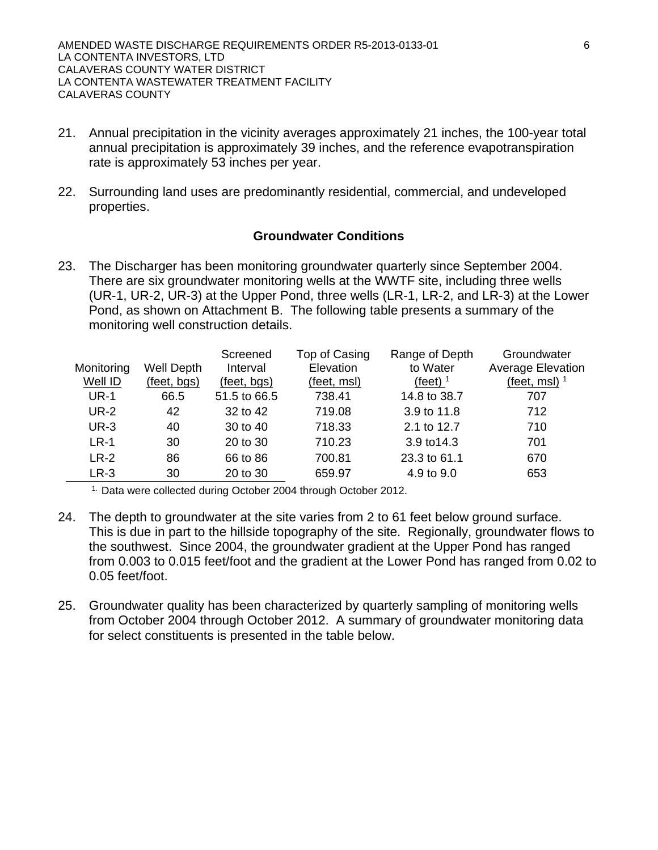- 21. Annual precipitation in the vicinity averages approximately 21 inches, the 100-year total annual precipitation is approximately 39 inches, and the reference evapotranspiration rate is approximately 53 inches per year.
- 22. Surrounding land uses are predominantly residential, commercial, and undeveloped properties.

## **Groundwater Conditions**

23. The Discharger has been monitoring groundwater quarterly since September 2004. There are six groundwater monitoring wells at the WWTF site, including three wells (UR-1, UR-2, UR-3) at the Upper Pond, three wells (LR-1, LR-2, and LR-3) at the Lower Pond, as shown on Attachment B. The following table presents a summary of the monitoring well construction details.

| Monitoring<br>Well ID | Well Depth<br>(feet, bgs) | Screened<br>Interval<br>(feet, bgs) | Top of Casing<br>Elevation<br>(feet, msl) | Range of Depth<br>to Water<br>$(\text{feet})$ <sup>1</sup> | Groundwater<br><b>Average Elevation</b><br>$(\text{feet}, \text{ms})$ <sup>1</sup> |
|-----------------------|---------------------------|-------------------------------------|-------------------------------------------|------------------------------------------------------------|------------------------------------------------------------------------------------|
| <b>UR-1</b>           | 66.5                      | 51.5 to 66.5                        | 738.41                                    | 14.8 to 38.7                                               | 707                                                                                |
| <b>UR-2</b>           | 42                        | 32 to 42                            | 719.08                                    | 3.9 to 11.8                                                | 712                                                                                |
| <b>UR-3</b>           | 40                        | 30 to 40                            | 718.33                                    | 2.1 to 12.7                                                | 710                                                                                |
| $LR-1$                | 30                        | 20 to 30                            | 710.23                                    | 3.9 to 14.3                                                | 701                                                                                |
| $LR-2$                | 86                        | 66 to 86                            | 700.81                                    | 23.3 to 61.1                                               | 670                                                                                |
| $LR-3$                | 30                        | 20 to 30                            | 659.97                                    | 4.9 to 9.0                                                 | 653                                                                                |

1. Data were collected during October 2004 through October 2012.

- 24. The depth to groundwater at the site varies from 2 to 61 feet below ground surface. This is due in part to the hillside topography of the site. Regionally, groundwater flows to the southwest. Since 2004, the groundwater gradient at the Upper Pond has ranged from 0.003 to 0.015 feet/foot and the gradient at the Lower Pond has ranged from 0.02 to 0.05 feet/foot.
- 25. Groundwater quality has been characterized by quarterly sampling of monitoring wells from October 2004 through October 2012. A summary of groundwater monitoring data for select constituents is presented in the table below.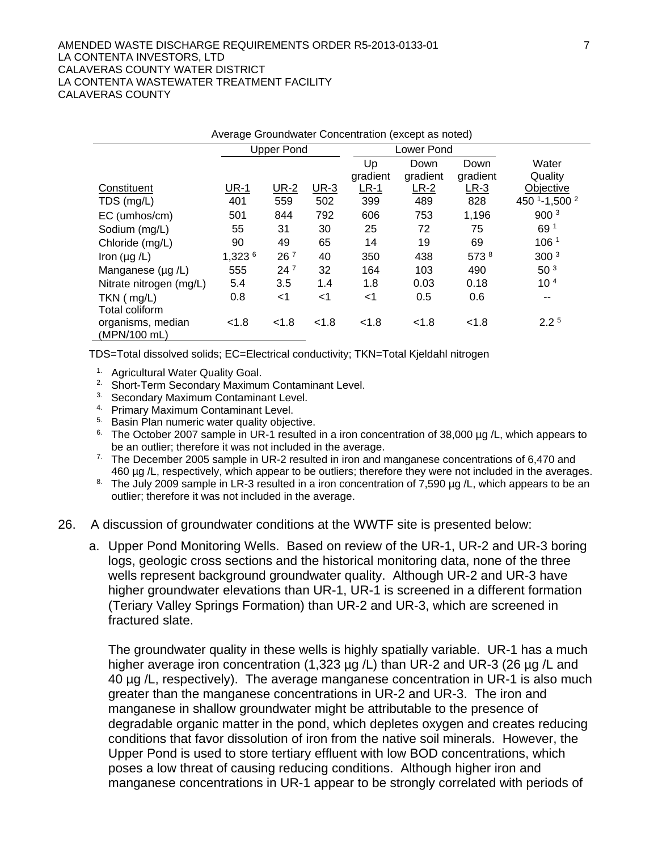#### AMENDED WASTE DISCHARGE REQUIREMENTS ORDER R5-2013-0133-01 7 LA CONTENTA INVESTORS, LTD CALAVERAS COUNTY WATER DISTRICT LA CONTENTA WASTEWATER TREATMENT FACILITY CALAVERAS COUNTY

| Average Groundwater Concentration (except as noted) |             |                   |             |          |            |          |                  |
|-----------------------------------------------------|-------------|-------------------|-------------|----------|------------|----------|------------------|
|                                                     |             | <b>Upper Pond</b> |             |          | Lower Pond |          |                  |
|                                                     |             |                   |             | Up       | Down       | Down     | Water            |
|                                                     |             |                   |             | gradient | gradient   | gradient | Quality          |
| Constituent                                         | <b>UR-1</b> | <b>UR-2</b>       | <b>UR-3</b> | $LR-1$   | $LR-2$     | $LR-3$   | Objective        |
| TDS (mg/L)                                          | 401         | 559               | 502         | 399      | 489        | 828      | 450 1-1,500 2    |
| EC (umhos/cm)                                       | 501         | 844               | 792         | 606      | 753        | 1,196    | 900 <sup>3</sup> |
| Sodium (mg/L)                                       | 55          | 31                | 30          | 25       | 72         | 75       | 69 1             |
| Chloride (mg/L)                                     | 90          | 49                | 65          | 14       | 19         | 69       | 106 <sup>1</sup> |
| Iron $(\mu g/L)$                                    | 1,323 6     | 26 <sup>7</sup>   | 40          | 350      | 438        | 573 8    | 300 <sup>3</sup> |
| Manganese $(\mu q/L)$                               | 555         | $24^7$            | 32          | 164      | 103        | 490      | 50 <sup>3</sup>  |
| Nitrate nitrogen (mg/L)                             | 5.4         | 3.5               | 1.4         | 1.8      | 0.03       | 0.18     | 10 <sup>4</sup>  |
| $TKN$ ( $mg/L$ )                                    | 0.8         | $<$ 1             | <1          | $<$ 1    | 0.5        | 0.6      | --               |
| Total coliform                                      |             |                   |             |          |            |          |                  |
| organisms, median<br>(MPN/100 mL)                   | < 1.8       | < 1.8             | < 1.8       | < 1.8    | < 1.8      | < 1.8    | $2.2^5$          |

TDS=Total dissolved solids; EC=Electrical conductivity; TKN=Total Kjeldahl nitrogen

- 1. Agricultural Water Quality Goal.
- <sup>2</sup> Short-Term Secondary Maximum Contaminant Level.
- 3. Secondary Maximum Contaminant Level.
- 4. Primary Maximum Contaminant Level.
- <sup>5.</sup> Basin Plan numeric water quality objective.
- <sup>6.</sup> The October 2007 sample in UR-1 resulted in a iron concentration of 38,000 µg /L, which appears to
- be an outlier; therefore it was not included in the average.<br><sup>7.</sup> The December 2005 sample in UR-2 resulted in iron and manganese concentrations of 6,470 and<br>460 µg /L, respectively, which appear to be outliers; therefore
- The July 2009 sample in LR-3 resulted in a iron concentration of 7,590 µg /L, which appears to be an outlier; therefore it was not included in the average.
- 26. A discussion of groundwater conditions at the WWTF site is presented below:
	- a. Upper Pond Monitoring Wells. Based on review of the UR-1, UR-2 and UR-3 boring logs, geologic cross sections and the historical monitoring data, none of the three wells represent background groundwater quality. Although UR-2 and UR-3 have higher groundwater elevations than UR-1, UR-1 is screened in a different formation (Teriary Valley Springs Formation) than UR-2 and UR-3, which are screened in fractured slate.

The groundwater quality in these wells is highly spatially variable. UR-1 has a much higher average iron concentration (1,323 µg /L) than UR-2 and UR-3 (26 µg /L and 40 µg /L, respectively). The average manganese concentration in UR-1 is also much greater than the manganese concentrations in UR-2 and UR-3. The iron and manganese in shallow groundwater might be attributable to the presence of degradable organic matter in the pond, which depletes oxygen and creates reducing conditions that favor dissolution of iron from the native soil minerals. However, the Upper Pond is used to store tertiary effluent with low BOD concentrations, which poses a low threat of causing reducing conditions. Although higher iron and manganese concentrations in UR-1 appear to be strongly correlated with periods of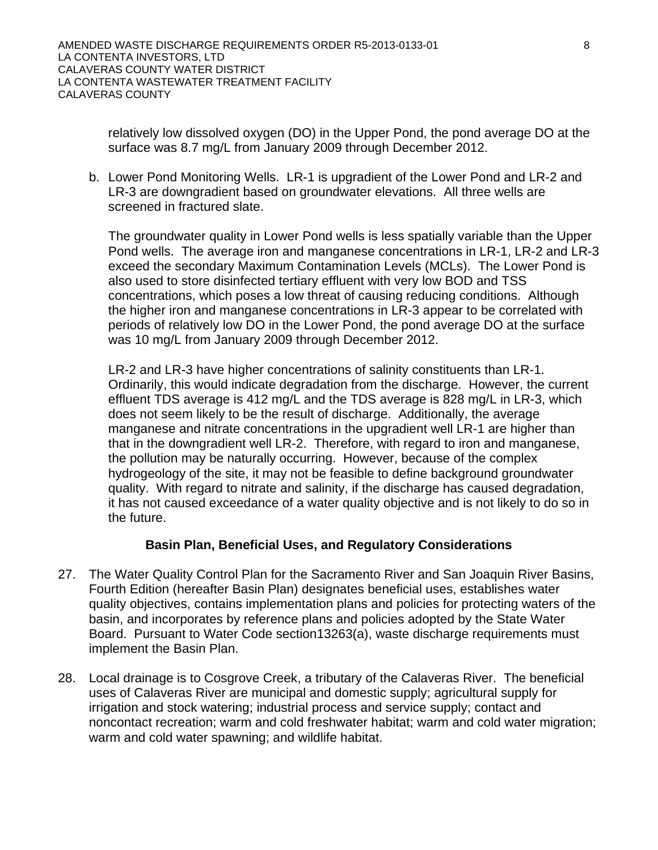relatively low dissolved oxygen (DO) in the Upper Pond, the pond average DO at the surface was 8.7 mg/L from January 2009 through December 2012.

b. Lower Pond Monitoring Wells. LR-1 is upgradient of the Lower Pond and LR-2 and LR-3 are downgradient based on groundwater elevations. All three wells are screened in fractured slate.

The groundwater quality in Lower Pond wells is less spatially variable than the Upper Pond wells. The average iron and manganese concentrations in LR-1, LR-2 and LR-3 exceed the secondary Maximum Contamination Levels (MCLs). The Lower Pond is also used to store disinfected tertiary effluent with very low BOD and TSS concentrations, which poses a low threat of causing reducing conditions. Although the higher iron and manganese concentrations in LR-3 appear to be correlated with periods of relatively low DO in the Lower Pond, the pond average DO at the surface was 10 mg/L from January 2009 through December 2012.

LR-2 and LR-3 have higher concentrations of salinity constituents than LR-1. Ordinarily, this would indicate degradation from the discharge. However, the current effluent TDS average is 412 mg/L and the TDS average is 828 mg/L in LR-3, which does not seem likely to be the result of discharge. Additionally, the average manganese and nitrate concentrations in the upgradient well LR-1 are higher than that in the downgradient well LR-2. Therefore, with regard to iron and manganese, the pollution may be naturally occurring. However, because of the complex hydrogeology of the site, it may not be feasible to define background groundwater quality. With regard to nitrate and salinity, if the discharge has caused degradation, it has not caused exceedance of a water quality objective and is not likely to do so in the future.

# **Basin Plan, Beneficial Uses, and Regulatory Considerations**

- 27. The Water Quality Control Plan for the Sacramento River and San Joaquin River Basins, Fourth Edition (hereafter Basin Plan) designates beneficial uses, establishes water quality objectives, contains implementation plans and policies for protecting waters of the basin, and incorporates by reference plans and policies adopted by the State Water Board. Pursuant to Water Code section13263(a), waste discharge requirements must implement the Basin Plan.
- 28. Local drainage is to Cosgrove Creek, a tributary of the Calaveras River. The beneficial uses of Calaveras River are municipal and domestic supply; agricultural supply for irrigation and stock watering; industrial process and service supply; contact and noncontact recreation; warm and cold freshwater habitat; warm and cold water migration; warm and cold water spawning; and wildlife habitat.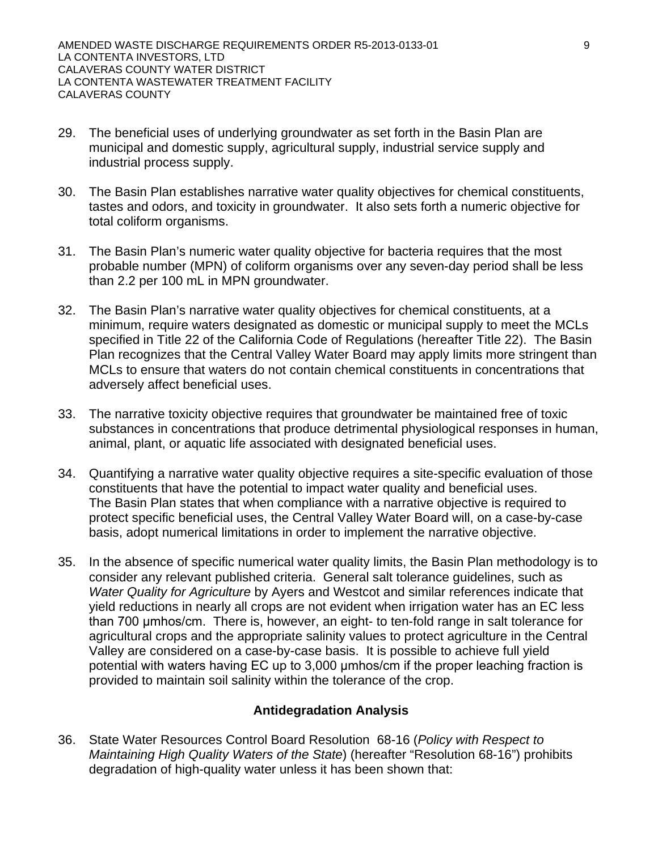- 29. The beneficial uses of underlying groundwater as set forth in the Basin Plan are municipal and domestic supply, agricultural supply, industrial service supply and industrial process supply.
- 30. The Basin Plan establishes narrative water quality objectives for chemical constituents, tastes and odors, and toxicity in groundwater. It also sets forth a numeric objective for total coliform organisms.
- 31. The Basin Plan's numeric water quality objective for bacteria requires that the most probable number (MPN) of coliform organisms over any seven-day period shall be less than 2.2 per 100 mL in MPN groundwater.
- 32. The Basin Plan's narrative water quality objectives for chemical constituents, at a minimum, require waters designated as domestic or municipal supply to meet the MCLs specified in Title 22 of the California Code of Regulations (hereafter Title 22). The Basin Plan recognizes that the Central Valley Water Board may apply limits more stringent than MCLs to ensure that waters do not contain chemical constituents in concentrations that adversely affect beneficial uses.
- 33. The narrative toxicity objective requires that groundwater be maintained free of toxic substances in concentrations that produce detrimental physiological responses in human, animal, plant, or aquatic life associated with designated beneficial uses.
- 34. Quantifying a narrative water quality objective requires a site-specific evaluation of those constituents that have the potential to impact water quality and beneficial uses. The Basin Plan states that when compliance with a narrative objective is required to protect specific beneficial uses, the Central Valley Water Board will, on a case-by-case basis, adopt numerical limitations in order to implement the narrative objective.
- 35. In the absence of specific numerical water quality limits, the Basin Plan methodology is to consider any relevant published criteria. General salt tolerance guidelines, such as *Water Quality for Agriculture* by Ayers and Westcot and similar references indicate that yield reductions in nearly all crops are not evident when irrigation water has an EC less than 700 μmhos/cm. There is, however, an eight- to ten-fold range in salt tolerance for agricultural crops and the appropriate salinity values to protect agriculture in the Central Valley are considered on a case-by-case basis. It is possible to achieve full yield potential with waters having EC up to 3,000 μmhos/cm if the proper leaching fraction is provided to maintain soil salinity within the tolerance of the crop.

# **Antidegradation Analysis**

36. State Water Resources Control Board Resolution 68-16 (*Policy with Respect to Maintaining High Quality Waters of the State*) (hereafter "Resolution 68-16") prohibits degradation of high-quality water unless it has been shown that: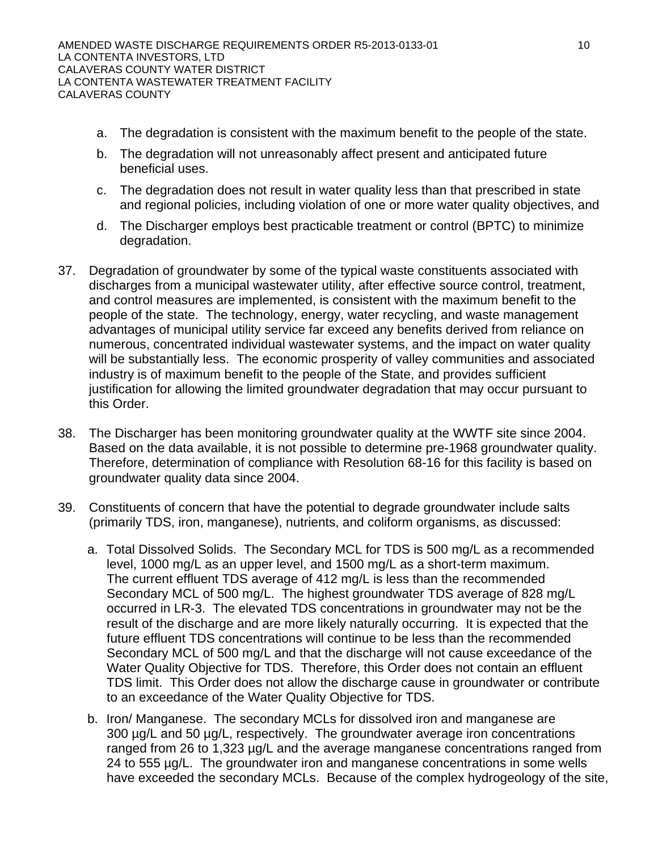- a. The degradation is consistent with the maximum benefit to the people of the state.
- b. The degradation will not unreasonably affect present and anticipated future beneficial uses.
- c. The degradation does not result in water quality less than that prescribed in state and regional policies, including violation of one or more water quality objectives, and
- d. The Discharger employs best practicable treatment or control (BPTC) to minimize degradation.
- 37. Degradation of groundwater by some of the typical waste constituents associated with discharges from a municipal wastewater utility, after effective source control, treatment, and control measures are implemented, is consistent with the maximum benefit to the people of the state. The technology, energy, water recycling, and waste management advantages of municipal utility service far exceed any benefits derived from reliance on numerous, concentrated individual wastewater systems, and the impact on water quality will be substantially less. The economic prosperity of valley communities and associated industry is of maximum benefit to the people of the State, and provides sufficient justification for allowing the limited groundwater degradation that may occur pursuant to this Order.
- 38. The Discharger has been monitoring groundwater quality at the WWTF site since 2004. Based on the data available, it is not possible to determine pre-1968 groundwater quality. Therefore, determination of compliance with Resolution 68-16 for this facility is based on groundwater quality data since 2004.
- 39. Constituents of concern that have the potential to degrade groundwater include salts (primarily TDS, iron, manganese), nutrients, and coliform organisms, as discussed:
	- a. Total Dissolved Solids. The Secondary MCL for TDS is 500 mg/L as a recommended level, 1000 mg/L as an upper level, and 1500 mg/L as a short-term maximum. The current effluent TDS average of 412 mg/L is less than the recommended Secondary MCL of 500 mg/L. The highest groundwater TDS average of 828 mg/L occurred in LR-3. The elevated TDS concentrations in groundwater may not be the result of the discharge and are more likely naturally occurring. It is expected that the future effluent TDS concentrations will continue to be less than the recommended Secondary MCL of 500 mg/L and that the discharge will not cause exceedance of the Water Quality Objective for TDS. Therefore, this Order does not contain an effluent TDS limit. This Order does not allow the discharge cause in groundwater or contribute to an exceedance of the Water Quality Objective for TDS.
	- b. Iron/ Manganese. The secondary MCLs for dissolved iron and manganese are 300 µg/L and 50 µg/L, respectively. The groundwater average iron concentrations ranged from 26 to 1,323 µg/L and the average manganese concentrations ranged from 24 to 555 µg/L. The groundwater iron and manganese concentrations in some wells have exceeded the secondary MCLs. Because of the complex hydrogeology of the site,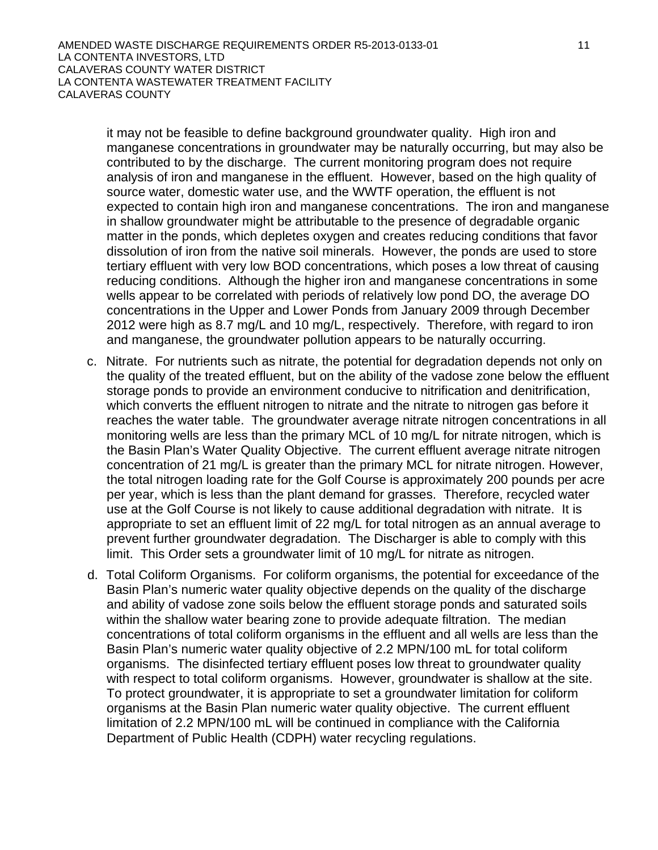it may not be feasible to define background groundwater quality. High iron and manganese concentrations in groundwater may be naturally occurring, but may also be contributed to by the discharge. The current monitoring program does not require analysis of iron and manganese in the effluent. However, based on the high quality of source water, domestic water use, and the WWTF operation, the effluent is not expected to contain high iron and manganese concentrations. The iron and manganese in shallow groundwater might be attributable to the presence of degradable organic matter in the ponds, which depletes oxygen and creates reducing conditions that favor dissolution of iron from the native soil minerals. However, the ponds are used to store tertiary effluent with very low BOD concentrations, which poses a low threat of causing reducing conditions. Although the higher iron and manganese concentrations in some wells appear to be correlated with periods of relatively low pond DO, the average DO concentrations in the Upper and Lower Ponds from January 2009 through December 2012 were high as 8.7 mg/L and 10 mg/L, respectively. Therefore, with regard to iron and manganese, the groundwater pollution appears to be naturally occurring.

- c. Nitrate. For nutrients such as nitrate, the potential for degradation depends not only on the quality of the treated effluent, but on the ability of the vadose zone below the effluent storage ponds to provide an environment conducive to nitrification and denitrification, which converts the effluent nitrogen to nitrate and the nitrate to nitrogen gas before it reaches the water table. The groundwater average nitrate nitrogen concentrations in all monitoring wells are less than the primary MCL of 10 mg/L for nitrate nitrogen, which is the Basin Plan's Water Quality Objective. The current effluent average nitrate nitrogen concentration of 21 mg/L is greater than the primary MCL for nitrate nitrogen. However, the total nitrogen loading rate for the Golf Course is approximately 200 pounds per acre per year, which is less than the plant demand for grasses. Therefore, recycled water use at the Golf Course is not likely to cause additional degradation with nitrate. It is appropriate to set an effluent limit of 22 mg/L for total nitrogen as an annual average to prevent further groundwater degradation. The Discharger is able to comply with this limit. This Order sets a groundwater limit of 10 mg/L for nitrate as nitrogen.
- d. Total Coliform Organisms. For coliform organisms, the potential for exceedance of the Basin Plan's numeric water quality objective depends on the quality of the discharge and ability of vadose zone soils below the effluent storage ponds and saturated soils within the shallow water bearing zone to provide adequate filtration. The median concentrations of total coliform organisms in the effluent and all wells are less than the Basin Plan's numeric water quality objective of 2.2 MPN/100 mL for total coliform organisms. The disinfected tertiary effluent poses low threat to groundwater quality with respect to total coliform organisms. However, groundwater is shallow at the site. To protect groundwater, it is appropriate to set a groundwater limitation for coliform organisms at the Basin Plan numeric water quality objective. The current effluent limitation of 2.2 MPN/100 mL will be continued in compliance with the California Department of Public Health (CDPH) water recycling regulations.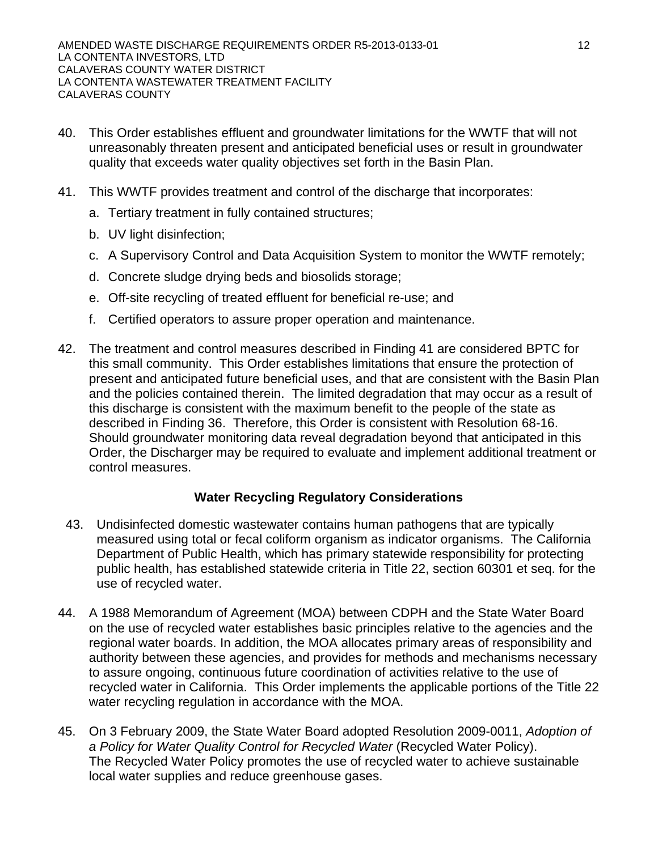- 40. This Order establishes effluent and groundwater limitations for the WWTF that will not unreasonably threaten present and anticipated beneficial uses or result in groundwater quality that exceeds water quality objectives set forth in the Basin Plan.
- 41. This WWTF provides treatment and control of the discharge that incorporates:
	- a. Tertiary treatment in fully contained structures;
	- b. UV light disinfection;
	- c. A Supervisory Control and Data Acquisition System to monitor the WWTF remotely;
	- d. Concrete sludge drying beds and biosolids storage;
	- e. Off-site recycling of treated effluent for beneficial re-use; and
	- f. Certified operators to assure proper operation and maintenance.
- 42. The treatment and control measures described in Finding 41 are considered BPTC for this small community. This Order establishes limitations that ensure the protection of present and anticipated future beneficial uses, and that are consistent with the Basin Plan and the policies contained therein. The limited degradation that may occur as a result of this discharge is consistent with the maximum benefit to the people of the state as described in Finding 36. Therefore, this Order is consistent with Resolution 68-16. Should groundwater monitoring data reveal degradation beyond that anticipated in this Order, the Discharger may be required to evaluate and implement additional treatment or control measures.

# **Water Recycling Regulatory Considerations**

- 43. Undisinfected domestic wastewater contains human pathogens that are typically measured using total or fecal coliform organism as indicator organisms. The California Department of Public Health, which has primary statewide responsibility for protecting public health, has established statewide criteria in Title 22, section 60301 et seq. for the use of recycled water.
- 44. A 1988 Memorandum of Agreement (MOA) between CDPH and the State Water Board on the use of recycled water establishes basic principles relative to the agencies and the regional water boards. In addition, the MOA allocates primary areas of responsibility and authority between these agencies, and provides for methods and mechanisms necessary to assure ongoing, continuous future coordination of activities relative to the use of recycled water in California. This Order implements the applicable portions of the Title 22 water recycling regulation in accordance with the MOA.
- 45. On 3 February 2009, the State Water Board adopted Resolution 2009-0011, *Adoption of a Policy for Water Quality Control for Recycled Water* (Recycled Water Policy). The Recycled Water Policy promotes the use of recycled water to achieve sustainable local water supplies and reduce greenhouse gases.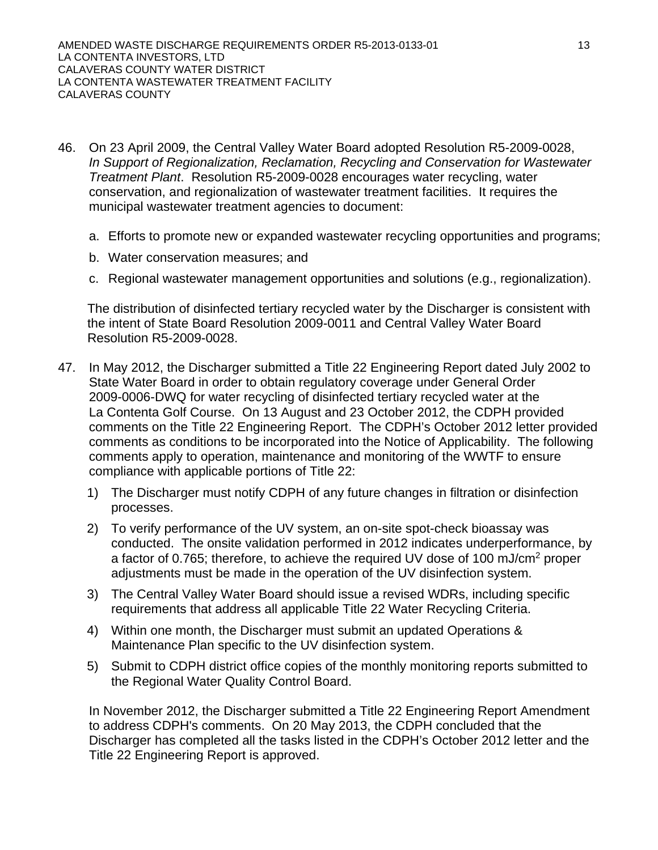- 46. On 23 April 2009, the Central Valley Water Board adopted Resolution R5-2009-0028, *In Support of Regionalization, Reclamation, Recycling and Conservation for Wastewater Treatment Plant*. Resolution R5-2009-0028 encourages water recycling, water conservation, and regionalization of wastewater treatment facilities. It requires the municipal wastewater treatment agencies to document:
	- a. Efforts to promote new or expanded wastewater recycling opportunities and programs;
	- b. Water conservation measures; and
	- c. Regional wastewater management opportunities and solutions (e.g., regionalization).

The distribution of disinfected tertiary recycled water by the Discharger is consistent with the intent of State Board Resolution 2009-0011 and Central Valley Water Board Resolution R5-2009-0028.

- 47. In May 2012, the Discharger submitted a Title 22 Engineering Report dated July 2002 to State Water Board in order to obtain regulatory coverage under General Order 2009-0006-DWQ for water recycling of disinfected tertiary recycled water at the La Contenta Golf Course. On 13 August and 23 October 2012, the CDPH provided comments on the Title 22 Engineering Report. The CDPH's October 2012 letter provided comments as conditions to be incorporated into the Notice of Applicability. The following comments apply to operation, maintenance and monitoring of the WWTF to ensure compliance with applicable portions of Title 22:
	- 1) The Discharger must notify CDPH of any future changes in filtration or disinfection processes.
	- 2) To verify performance of the UV system, an on-site spot-check bioassay was conducted. The onsite validation performed in 2012 indicates underperformance, by a factor of 0.765; therefore, to achieve the required UV dose of 100 mJ/cm2 proper adjustments must be made in the operation of the UV disinfection system.
	- 3) The Central Valley Water Board should issue a revised WDRs, including specific requirements that address all applicable Title 22 Water Recycling Criteria.
	- 4) Within one month, the Discharger must submit an updated Operations & Maintenance Plan specific to the UV disinfection system.
	- 5) Submit to CDPH district office copies of the monthly monitoring reports submitted to the Regional Water Quality Control Board.

In November 2012, the Discharger submitted a Title 22 Engineering Report Amendment to address CDPH's comments. On 20 May 2013, the CDPH concluded that the Discharger has completed all the tasks listed in the CDPH's October 2012 letter and the Title 22 Engineering Report is approved.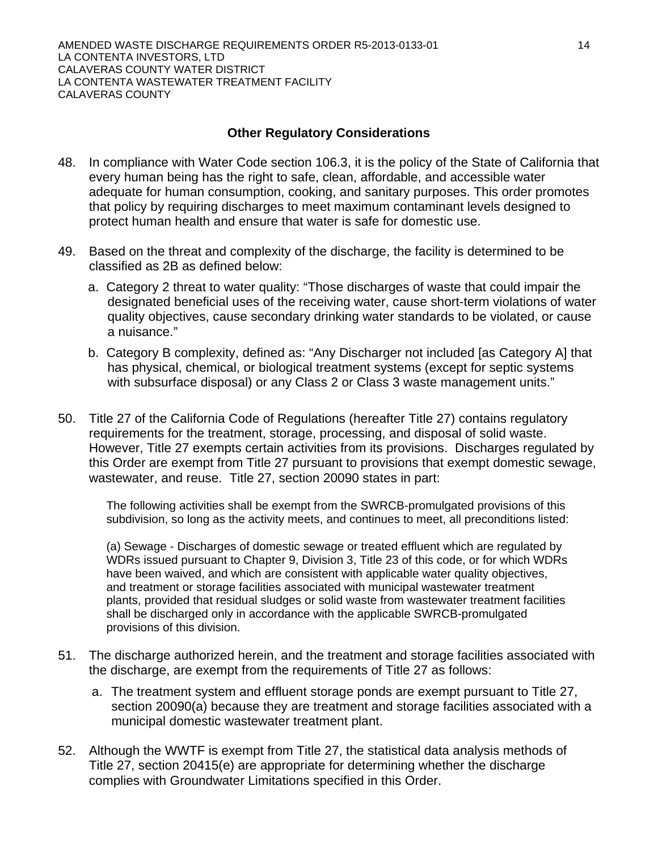# **Other Regulatory Considerations**

- 48. In compliance with Water Code section 106.3, it is the policy of the State of California that every human being has the right to safe, clean, affordable, and accessible water adequate for human consumption, cooking, and sanitary purposes. This order promotes that policy by requiring discharges to meet maximum contaminant levels designed to protect human health and ensure that water is safe for domestic use.
- 49. Based on the threat and complexity of the discharge, the facility is determined to be classified as 2B as defined below:
	- a. Category 2 threat to water quality: "Those discharges of waste that could impair the designated beneficial uses of the receiving water, cause short-term violations of water quality objectives, cause secondary drinking water standards to be violated, or cause a nuisance."
	- b. Category B complexity, defined as: "Any Discharger not included [as Category A] that has physical, chemical, or biological treatment systems (except for septic systems with subsurface disposal) or any Class 2 or Class 3 waste management units."
- 50. Title 27 of the California Code of Regulations (hereafter Title 27) contains regulatory requirements for the treatment, storage, processing, and disposal of solid waste. However, Title 27 exempts certain activities from its provisions. Discharges regulated by this Order are exempt from Title 27 pursuant to provisions that exempt domestic sewage, wastewater, and reuse. Title 27, section 20090 states in part:

The following activities shall be exempt from the SWRCB-promulgated provisions of this subdivision, so long as the activity meets, and continues to meet, all preconditions listed:

(a) Sewage - Discharges of domestic sewage or treated effluent which are regulated by WDRs issued pursuant to Chapter 9, Division 3, Title 23 of this code, or for which WDRs have been waived, and which are consistent with applicable water quality objectives, and treatment or storage facilities associated with municipal wastewater treatment plants, provided that residual sludges or solid waste from wastewater treatment facilities shall be discharged only in accordance with the applicable SWRCB-promulgated provisions of this division.

- 51. The discharge authorized herein, and the treatment and storage facilities associated with the discharge, are exempt from the requirements of Title 27 as follows:
	- a. The treatment system and effluent storage ponds are exempt pursuant to Title 27, section 20090(a) because they are treatment and storage facilities associated with a municipal domestic wastewater treatment plant.
- 52. Although the WWTF is exempt from Title 27, the statistical data analysis methods of Title 27, section 20415(e) are appropriate for determining whether the discharge complies with Groundwater Limitations specified in this Order.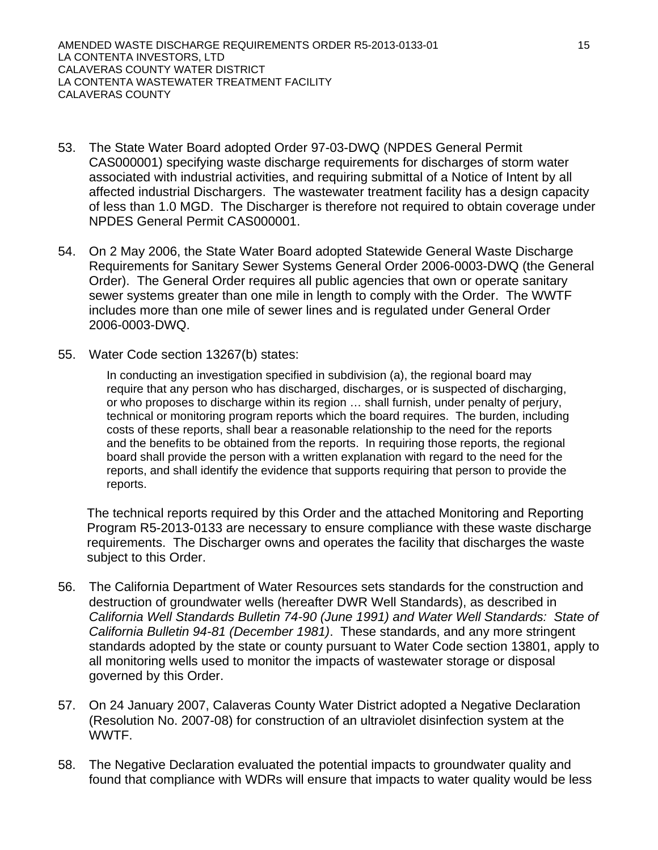- 53. The State Water Board adopted Order 97-03-DWQ (NPDES General Permit CAS000001) specifying waste discharge requirements for discharges of storm water associated with industrial activities, and requiring submittal of a Notice of Intent by all affected industrial Dischargers. The wastewater treatment facility has a design capacity of less than 1.0 MGD. The Discharger is therefore not required to obtain coverage under NPDES General Permit CAS000001.
- 54. On 2 May 2006, the State Water Board adopted Statewide General Waste Discharge Requirements for Sanitary Sewer Systems General Order 2006-0003-DWQ (the General Order). The General Order requires all public agencies that own or operate sanitary sewer systems greater than one mile in length to comply with the Order. The WWTF includes more than one mile of sewer lines and is regulated under General Order 2006-0003-DWQ.
- 55. Water Code section 13267(b) states:

In conducting an investigation specified in subdivision (a), the regional board may require that any person who has discharged, discharges, or is suspected of discharging, or who proposes to discharge within its region … shall furnish, under penalty of perjury, technical or monitoring program reports which the board requires. The burden, including costs of these reports, shall bear a reasonable relationship to the need for the reports and the benefits to be obtained from the reports. In requiring those reports, the regional board shall provide the person with a written explanation with regard to the need for the reports, and shall identify the evidence that supports requiring that person to provide the reports.

The technical reports required by this Order and the attached Monitoring and Reporting Program R5-2013-0133 are necessary to ensure compliance with these waste discharge requirements. The Discharger owns and operates the facility that discharges the waste subject to this Order.

- 56. The California Department of Water Resources sets standards for the construction and destruction of groundwater wells (hereafter DWR Well Standards), as described in *California Well Standards Bulletin 74-90 (June 1991) and Water Well Standards: State of California Bulletin 94-81 (December 1981)*. These standards, and any more stringent standards adopted by the state or county pursuant to Water Code section 13801, apply to all monitoring wells used to monitor the impacts of wastewater storage or disposal governed by this Order.
- 57. On 24 January 2007, Calaveras County Water District adopted a Negative Declaration (Resolution No. 2007-08) for construction of an ultraviolet disinfection system at the WWTF.
- 58. The Negative Declaration evaluated the potential impacts to groundwater quality and found that compliance with WDRs will ensure that impacts to water quality would be less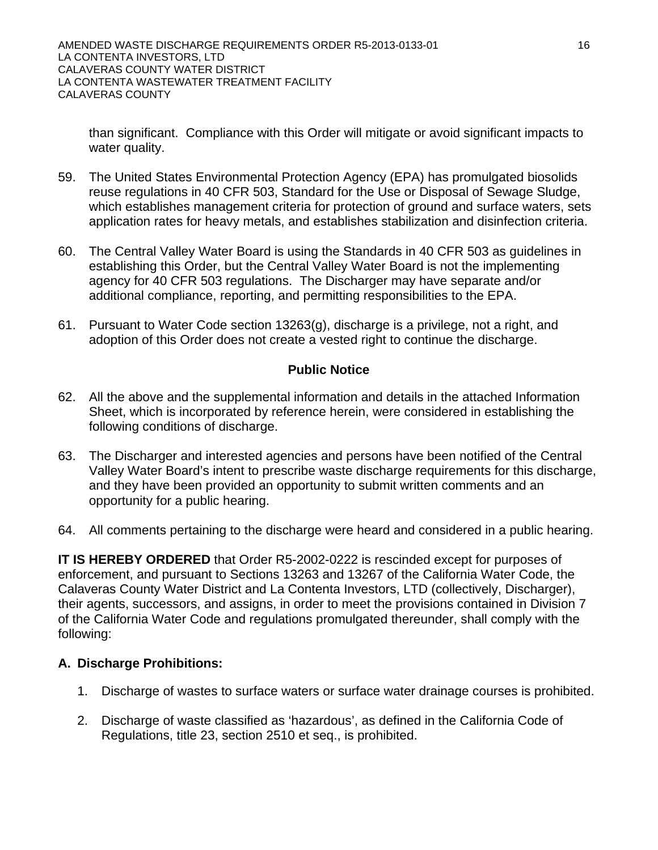than significant. Compliance with this Order will mitigate or avoid significant impacts to water quality.

- 59. The United States Environmental Protection Agency (EPA) has promulgated biosolids reuse regulations in 40 CFR 503, Standard for the Use or Disposal of Sewage Sludge, which establishes management criteria for protection of ground and surface waters, sets application rates for heavy metals, and establishes stabilization and disinfection criteria.
- 60. The Central Valley Water Board is using the Standards in 40 CFR 503 as guidelines in establishing this Order, but the Central Valley Water Board is not the implementing agency for 40 CFR 503 regulations. The Discharger may have separate and/or additional compliance, reporting, and permitting responsibilities to the EPA.
- 61. Pursuant to Water Code section 13263(g), discharge is a privilege, not a right, and adoption of this Order does not create a vested right to continue the discharge.

# **Public Notice**

- 62. All the above and the supplemental information and details in the attached Information Sheet, which is incorporated by reference herein, were considered in establishing the following conditions of discharge.
- 63. The Discharger and interested agencies and persons have been notified of the Central Valley Water Board's intent to prescribe waste discharge requirements for this discharge, and they have been provided an opportunity to submit written comments and an opportunity for a public hearing.
- 64. All comments pertaining to the discharge were heard and considered in a public hearing.

**IT IS HEREBY ORDERED** that Order R5-2002-0222 is rescinded except for purposes of enforcement, and pursuant to Sections 13263 and 13267 of the California Water Code, the Calaveras County Water District and La Contenta Investors, LTD (collectively, Discharger), their agents, successors, and assigns, in order to meet the provisions contained in Division 7 of the California Water Code and regulations promulgated thereunder, shall comply with the following:

# **A. Discharge Prohibitions:**

- 1. Discharge of wastes to surface waters or surface water drainage courses is prohibited.
- 2. Discharge of waste classified as 'hazardous', as defined in the California Code of Regulations, title 23, section 2510 et seq., is prohibited.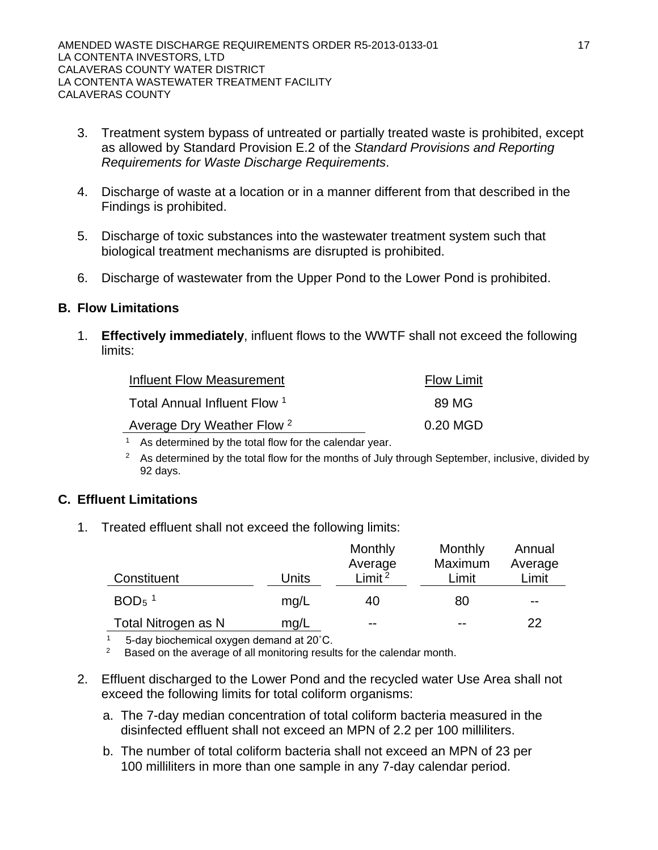- 3. Treatment system bypass of untreated or partially treated waste is prohibited, except as allowed by Standard Provision E.2 of the *Standard Provisions and Reporting Requirements for Waste Discharge Requirements*.
- 4. Discharge of waste at a location or in a manner different from that described in the Findings is prohibited.
- 5. Discharge of toxic substances into the wastewater treatment system such that biological treatment mechanisms are disrupted is prohibited.
- 6. Discharge of wastewater from the Upper Pond to the Lower Pond is prohibited.

# **B. Flow Limitations**

1. **Effectively immediately**, influent flows to the WWTF shall not exceed the following limits:

| Influent Flow Measurement             | <b>Flow Limit</b> |
|---------------------------------------|-------------------|
| Total Annual Influent Flow 1          | 89 MG             |
| Average Dry Weather Flow <sup>2</sup> | 0.20 MGD          |

<sup>1</sup> As determined by the total flow for the calendar year.

 $2^2$  As determined by the total flow for the months of July through September, inclusive, divided by 92 days.

# **C. Effluent Limitations**

1. Treated effluent shall not exceed the following limits:

|                     |       | Monthly            | Monthly | Annual  |
|---------------------|-------|--------------------|---------|---------|
|                     |       | Average            | Maximum | Average |
| Constituent         | Units | Limit <sup>2</sup> | Limit   | Limit   |
| $BOD5$ <sup>1</sup> | mg/L  | 40                 | 80      | --      |
| Total Nitrogen as N | mq/L  | $- -$              | --      | 22      |

<sup>1</sup> 5-day biochemical oxygen demand at 20 $^{\circ}$ C.<br><sup>2</sup> Based on the average of all monitoring results for the calendar month.

- 2. Effluent discharged to the Lower Pond and the recycled water Use Area shall not exceed the following limits for total coliform organisms:
	- a. The 7-day median concentration of total coliform bacteria measured in the disinfected effluent shall not exceed an MPN of 2.2 per 100 milliliters.
	- b. The number of total coliform bacteria shall not exceed an MPN of 23 per 100 milliliters in more than one sample in any 7-day calendar period.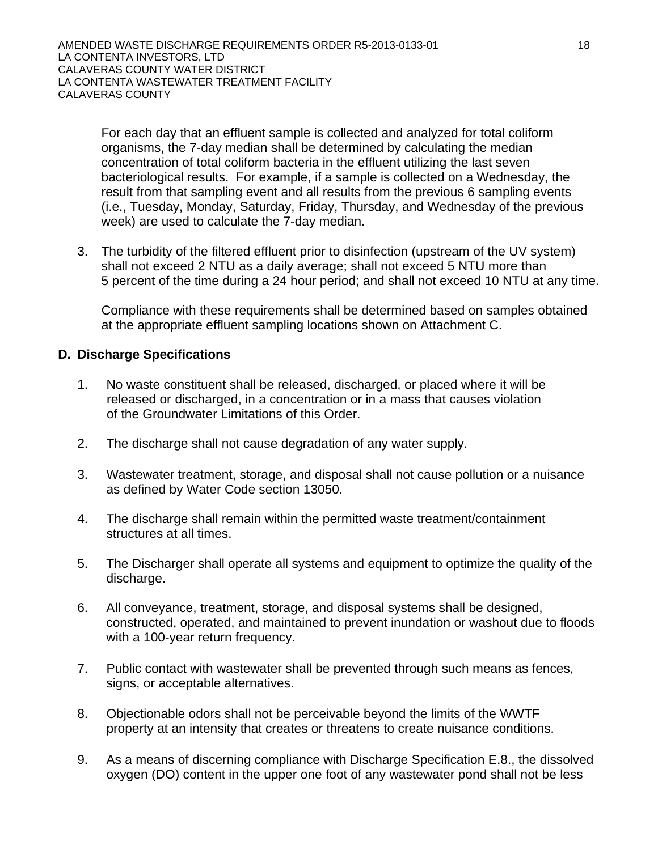For each day that an effluent sample is collected and analyzed for total coliform organisms, the 7-day median shall be determined by calculating the median concentration of total coliform bacteria in the effluent utilizing the last seven bacteriological results. For example, if a sample is collected on a Wednesday, the result from that sampling event and all results from the previous 6 sampling events (i.e., Tuesday, Monday, Saturday, Friday, Thursday, and Wednesday of the previous week) are used to calculate the 7-day median.

3. The turbidity of the filtered effluent prior to disinfection (upstream of the UV system) shall not exceed 2 NTU as a daily average; shall not exceed 5 NTU more than 5 percent of the time during a 24 hour period; and shall not exceed 10 NTU at any time.

Compliance with these requirements shall be determined based on samples obtained at the appropriate effluent sampling locations shown on Attachment C.

# **D. Discharge Specifications**

- 1. No waste constituent shall be released, discharged, or placed where it will be released or discharged, in a concentration or in a mass that causes violation of the Groundwater Limitations of this Order.
- 2. The discharge shall not cause degradation of any water supply.
- 3. Wastewater treatment, storage, and disposal shall not cause pollution or a nuisance as defined by Water Code section 13050.
- 4. The discharge shall remain within the permitted waste treatment/containment structures at all times.
- 5. The Discharger shall operate all systems and equipment to optimize the quality of the discharge.
- 6. All conveyance, treatment, storage, and disposal systems shall be designed, constructed, operated, and maintained to prevent inundation or washout due to floods with a 100-year return frequency.
- 7. Public contact with wastewater shall be prevented through such means as fences, signs, or acceptable alternatives.
- 8. Objectionable odors shall not be perceivable beyond the limits of the WWTF property at an intensity that creates or threatens to create nuisance conditions.
- 9. As a means of discerning compliance with Discharge Specification E.8., the dissolved oxygen (DO) content in the upper one foot of any wastewater pond shall not be less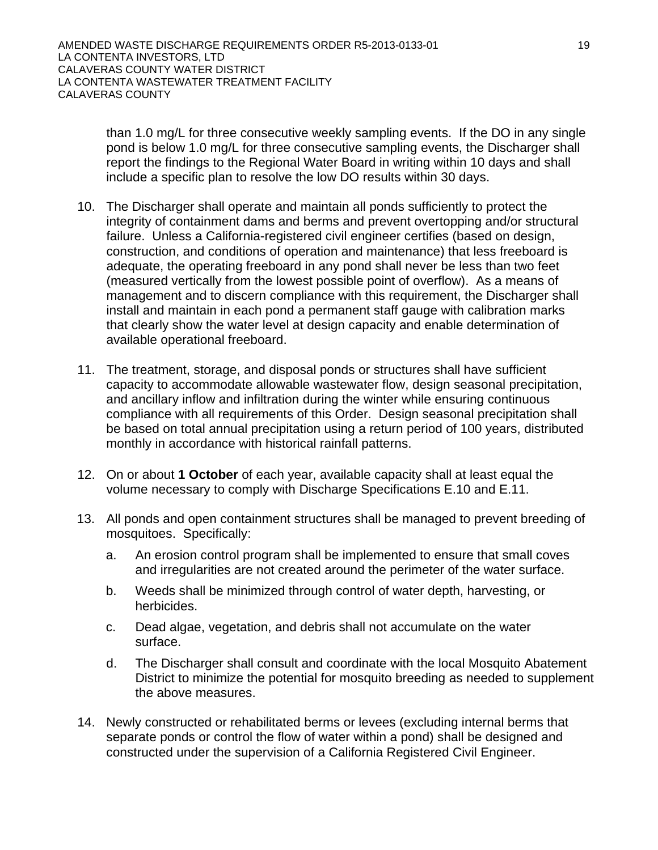than 1.0 mg/L for three consecutive weekly sampling events. If the DO in any single pond is below 1.0 mg/L for three consecutive sampling events, the Discharger shall report the findings to the Regional Water Board in writing within 10 days and shall include a specific plan to resolve the low DO results within 30 days.

- 10. The Discharger shall operate and maintain all ponds sufficiently to protect the integrity of containment dams and berms and prevent overtopping and/or structural failure. Unless a California-registered civil engineer certifies (based on design, construction, and conditions of operation and maintenance) that less freeboard is adequate, the operating freeboard in any pond shall never be less than two feet (measured vertically from the lowest possible point of overflow). As a means of management and to discern compliance with this requirement, the Discharger shall install and maintain in each pond a permanent staff gauge with calibration marks that clearly show the water level at design capacity and enable determination of available operational freeboard.
- 11. The treatment, storage, and disposal ponds or structures shall have sufficient capacity to accommodate allowable wastewater flow, design seasonal precipitation, and ancillary inflow and infiltration during the winter while ensuring continuous compliance with all requirements of this Order. Design seasonal precipitation shall be based on total annual precipitation using a return period of 100 years, distributed monthly in accordance with historical rainfall patterns.
- 12. On or about **1 October** of each year, available capacity shall at least equal the volume necessary to comply with Discharge Specifications E.10 and E.11.
- 13. All ponds and open containment structures shall be managed to prevent breeding of mosquitoes. Specifically:
	- a. An erosion control program shall be implemented to ensure that small coves and irregularities are not created around the perimeter of the water surface.
	- b. Weeds shall be minimized through control of water depth, harvesting, or herbicides.
	- c. Dead algae, vegetation, and debris shall not accumulate on the water surface.
	- d. The Discharger shall consult and coordinate with the local Mosquito Abatement District to minimize the potential for mosquito breeding as needed to supplement the above measures.
- 14. Newly constructed or rehabilitated berms or levees (excluding internal berms that separate ponds or control the flow of water within a pond) shall be designed and constructed under the supervision of a California Registered Civil Engineer.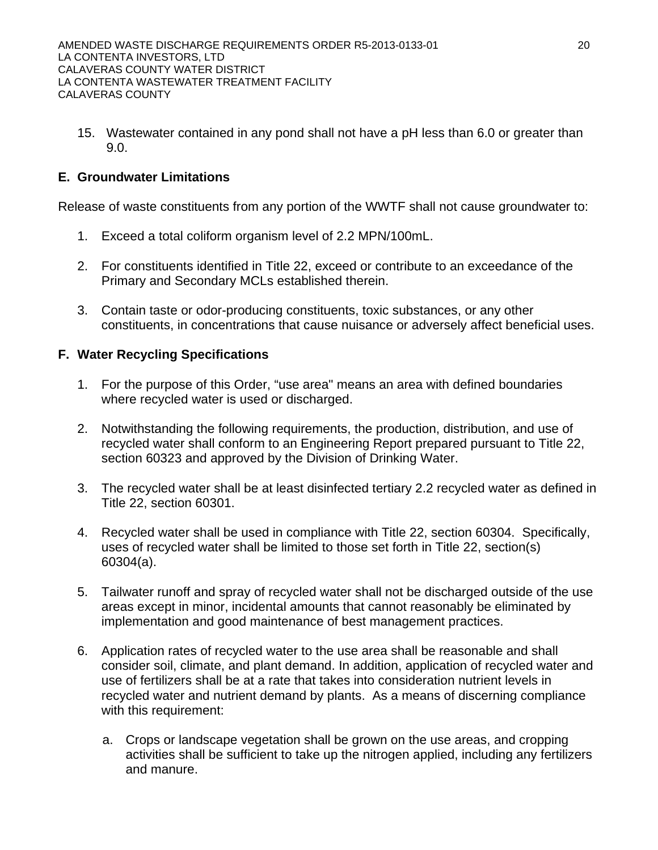15. Wastewater contained in any pond shall not have a pH less than 6.0 or greater than 9.0.

# **E. Groundwater Limitations**

Release of waste constituents from any portion of the WWTF shall not cause groundwater to:

- 1. Exceed a total coliform organism level of 2.2 MPN/100mL.
- 2. For constituents identified in Title 22, exceed or contribute to an exceedance of the Primary and Secondary MCLs established therein.
- 3. Contain taste or odor-producing constituents, toxic substances, or any other constituents, in concentrations that cause nuisance or adversely affect beneficial uses.

# **F. Water Recycling Specifications**

- 1. For the purpose of this Order, "use area" means an area with defined boundaries where recycled water is used or discharged.
- 2. Notwithstanding the following requirements, the production, distribution, and use of recycled water shall conform to an Engineering Report prepared pursuant to Title 22, section 60323 and approved by the Division of Drinking Water.
- 3. The recycled water shall be at least disinfected tertiary 2.2 recycled water as defined in Title 22, section 60301.
- 4. Recycled water shall be used in compliance with Title 22, section 60304. Specifically, uses of recycled water shall be limited to those set forth in Title 22, section(s) 60304(a).
- 5. Tailwater runoff and spray of recycled water shall not be discharged outside of the use areas except in minor, incidental amounts that cannot reasonably be eliminated by implementation and good maintenance of best management practices.
- 6. Application rates of recycled water to the use area shall be reasonable and shall consider soil, climate, and plant demand. In addition, application of recycled water and use of fertilizers shall be at a rate that takes into consideration nutrient levels in recycled water and nutrient demand by plants. As a means of discerning compliance with this requirement:
	- a. Crops or landscape vegetation shall be grown on the use areas, and cropping activities shall be sufficient to take up the nitrogen applied, including any fertilizers and manure.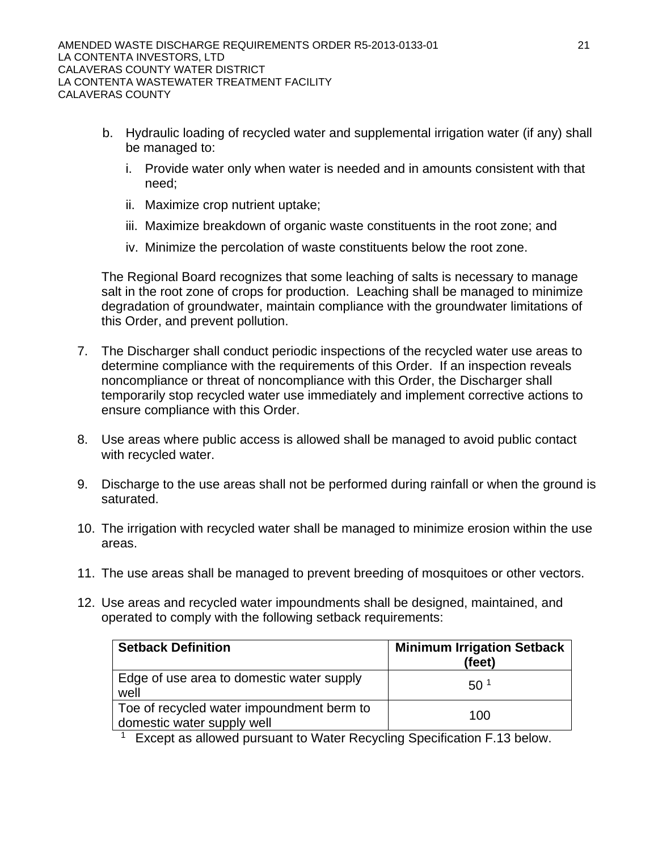- b. Hydraulic loading of recycled water and supplemental irrigation water (if any) shall be managed to:
	- i. Provide water only when water is needed and in amounts consistent with that need;
	- ii. Maximize crop nutrient uptake;
	- iii. Maximize breakdown of organic waste constituents in the root zone; and
	- iv. Minimize the percolation of waste constituents below the root zone.

The Regional Board recognizes that some leaching of salts is necessary to manage salt in the root zone of crops for production. Leaching shall be managed to minimize degradation of groundwater, maintain compliance with the groundwater limitations of this Order, and prevent pollution.

- 7. The Discharger shall conduct periodic inspections of the recycled water use areas to determine compliance with the requirements of this Order. If an inspection reveals noncompliance or threat of noncompliance with this Order, the Discharger shall temporarily stop recycled water use immediately and implement corrective actions to ensure compliance with this Order.
- 8. Use areas where public access is allowed shall be managed to avoid public contact with recycled water.
- 9. Discharge to the use areas shall not be performed during rainfall or when the ground is saturated.
- 10. The irrigation with recycled water shall be managed to minimize erosion within the use areas.
- 11. The use areas shall be managed to prevent breeding of mosquitoes or other vectors.
- 12. Use areas and recycled water impoundments shall be designed, maintained, and operated to comply with the following setback requirements:

| <b>Setback Definition</b>                                               | <b>Minimum Irrigation Setback</b><br>(feet) |
|-------------------------------------------------------------------------|---------------------------------------------|
| Edge of use area to domestic water supply<br>well                       | 50 <sup>1</sup>                             |
| Toe of recycled water impoundment berm to<br>domestic water supply well | 100                                         |

<sup>1</sup> Except as allowed pursuant to Water Recycling Specification F.13 below.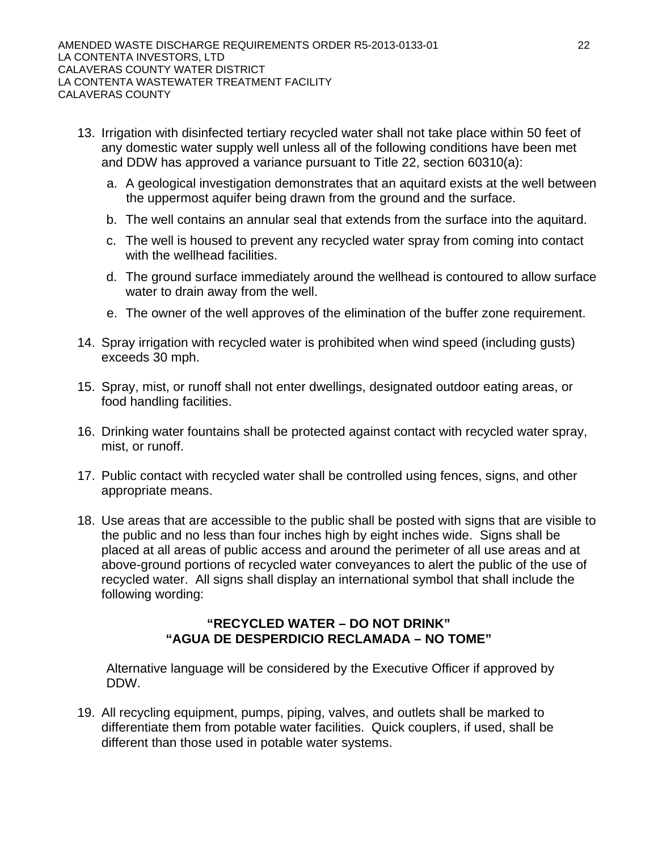- 13. Irrigation with disinfected tertiary recycled water shall not take place within 50 feet of any domestic water supply well unless all of the following conditions have been met and DDW has approved a variance pursuant to Title 22, section 60310(a):
	- a. A geological investigation demonstrates that an aquitard exists at the well between the uppermost aquifer being drawn from the ground and the surface.
	- b. The well contains an annular seal that extends from the surface into the aquitard.
	- c. The well is housed to prevent any recycled water spray from coming into contact with the wellhead facilities.
	- d. The ground surface immediately around the wellhead is contoured to allow surface water to drain away from the well.
	- e. The owner of the well approves of the elimination of the buffer zone requirement.
- 14. Spray irrigation with recycled water is prohibited when wind speed (including gusts) exceeds 30 mph.
- 15. Spray, mist, or runoff shall not enter dwellings, designated outdoor eating areas, or food handling facilities.
- 16. Drinking water fountains shall be protected against contact with recycled water spray, mist, or runoff.
- 17. Public contact with recycled water shall be controlled using fences, signs, and other appropriate means.
- 18. Use areas that are accessible to the public shall be posted with signs that are visible to the public and no less than four inches high by eight inches wide. Signs shall be placed at all areas of public access and around the perimeter of all use areas and at above-ground portions of recycled water conveyances to alert the public of the use of recycled water. All signs shall display an international symbol that shall include the following wording:

## **"RECYCLED WATER – DO NOT DRINK" "AGUA DE DESPERDICIO RECLAMADA – NO TOME"**

Alternative language will be considered by the Executive Officer if approved by DDW.

19. All recycling equipment, pumps, piping, valves, and outlets shall be marked to differentiate them from potable water facilities. Quick couplers, if used, shall be different than those used in potable water systems.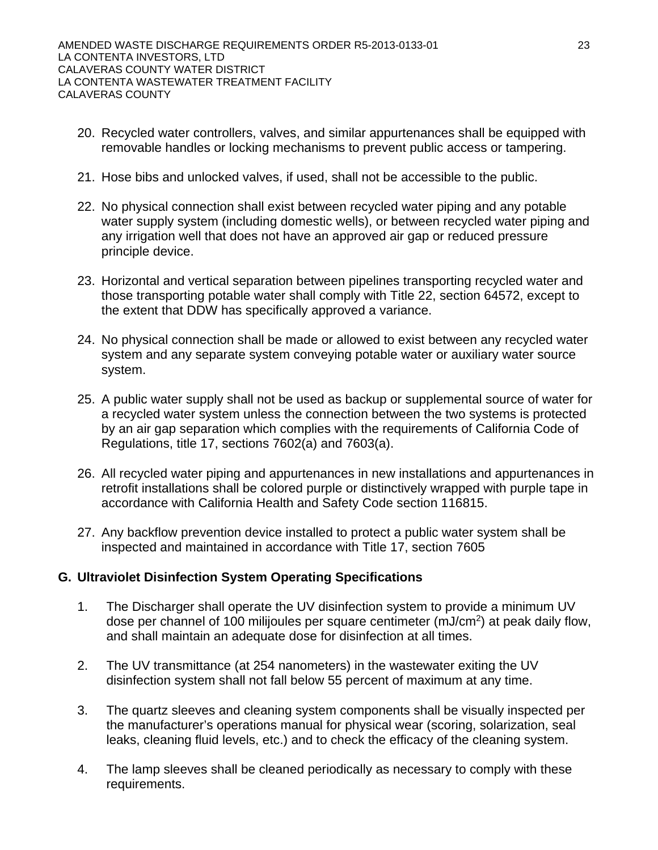- 20. Recycled water controllers, valves, and similar appurtenances shall be equipped with removable handles or locking mechanisms to prevent public access or tampering.
- 21. Hose bibs and unlocked valves, if used, shall not be accessible to the public.
- 22. No physical connection shall exist between recycled water piping and any potable water supply system (including domestic wells), or between recycled water piping and any irrigation well that does not have an approved air gap or reduced pressure principle device.
- 23. Horizontal and vertical separation between pipelines transporting recycled water and those transporting potable water shall comply with Title 22, section 64572, except to the extent that DDW has specifically approved a variance.
- 24. No physical connection shall be made or allowed to exist between any recycled water system and any separate system conveying potable water or auxiliary water source system.
- 25. A public water supply shall not be used as backup or supplemental source of water for a recycled water system unless the connection between the two systems is protected by an air gap separation which complies with the requirements of California Code of Regulations, title 17, sections 7602(a) and 7603(a).
- 26. All recycled water piping and appurtenances in new installations and appurtenances in retrofit installations shall be colored purple or distinctively wrapped with purple tape in accordance with California Health and Safety Code section 116815.
- 27. Any backflow prevention device installed to protect a public water system shall be inspected and maintained in accordance with Title 17, section 7605

# **G. Ultraviolet Disinfection System Operating Specifications**

- 1. The Discharger shall operate the UV disinfection system to provide a minimum UV dose per channel of 100 milijoules per square centimeter (mJ/cm2) at peak daily flow, and shall maintain an adequate dose for disinfection at all times.
- 2. The UV transmittance (at 254 nanometers) in the wastewater exiting the UV disinfection system shall not fall below 55 percent of maximum at any time.
- 3. The quartz sleeves and cleaning system components shall be visually inspected per the manufacturer's operations manual for physical wear (scoring, solarization, seal leaks, cleaning fluid levels, etc.) and to check the efficacy of the cleaning system.
- 4. The lamp sleeves shall be cleaned periodically as necessary to comply with these requirements.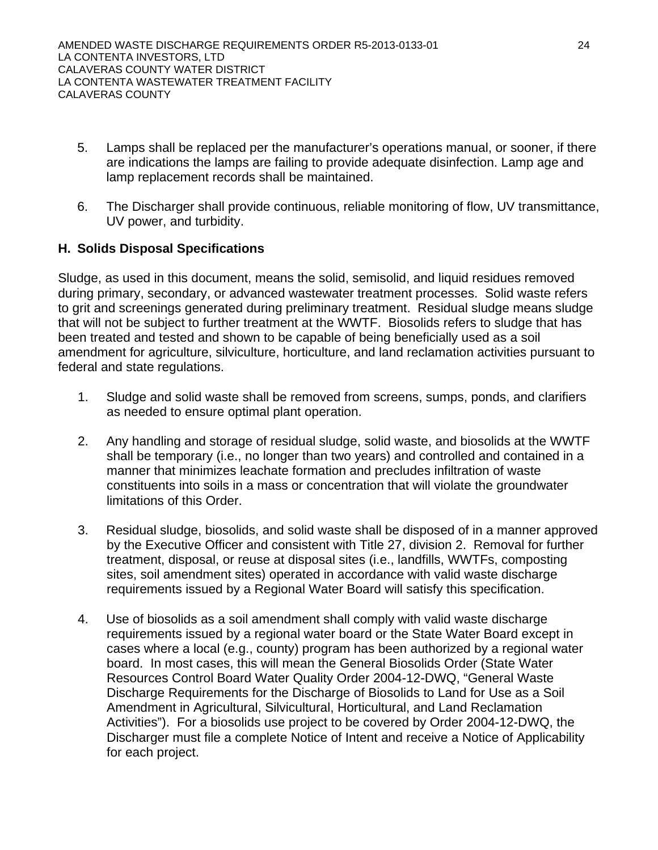- 5. Lamps shall be replaced per the manufacturer's operations manual, or sooner, if there are indications the lamps are failing to provide adequate disinfection. Lamp age and lamp replacement records shall be maintained.
- 6. The Discharger shall provide continuous, reliable monitoring of flow, UV transmittance, UV power, and turbidity.

# **H. Solids Disposal Specifications**

Sludge, as used in this document, means the solid, semisolid, and liquid residues removed during primary, secondary, or advanced wastewater treatment processes. Solid waste refers to grit and screenings generated during preliminary treatment. Residual sludge means sludge that will not be subject to further treatment at the WWTF. Biosolids refers to sludge that has been treated and tested and shown to be capable of being beneficially used as a soil amendment for agriculture, silviculture, horticulture, and land reclamation activities pursuant to federal and state regulations.

- 1. Sludge and solid waste shall be removed from screens, sumps, ponds, and clarifiers as needed to ensure optimal plant operation.
- 2. Any handling and storage of residual sludge, solid waste, and biosolids at the WWTF shall be temporary (i.e., no longer than two years) and controlled and contained in a manner that minimizes leachate formation and precludes infiltration of waste constituents into soils in a mass or concentration that will violate the groundwater limitations of this Order.
- 3. Residual sludge, biosolids, and solid waste shall be disposed of in a manner approved by the Executive Officer and consistent with Title 27, division 2. Removal for further treatment, disposal, or reuse at disposal sites (i.e., landfills, WWTFs, composting sites, soil amendment sites) operated in accordance with valid waste discharge requirements issued by a Regional Water Board will satisfy this specification.
- 4. Use of biosolids as a soil amendment shall comply with valid waste discharge requirements issued by a regional water board or the State Water Board except in cases where a local (e.g., county) program has been authorized by a regional water board. In most cases, this will mean the General Biosolids Order (State Water Resources Control Board Water Quality Order 2004-12-DWQ, "General Waste Discharge Requirements for the Discharge of Biosolids to Land for Use as a Soil Amendment in Agricultural, Silvicultural, Horticultural, and Land Reclamation Activities"). For a biosolids use project to be covered by Order 2004-12-DWQ, the Discharger must file a complete Notice of Intent and receive a Notice of Applicability for each project.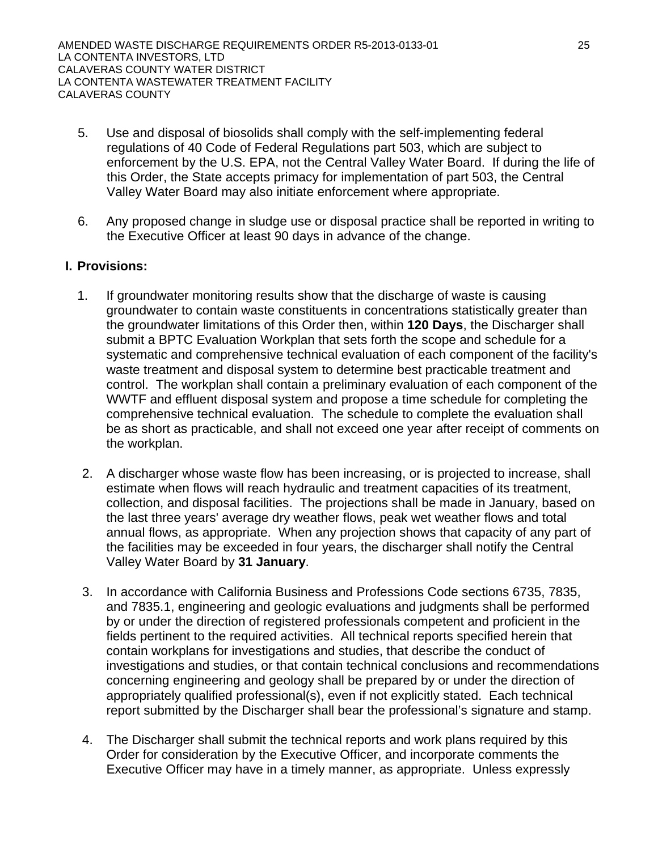- 5. Use and disposal of biosolids shall comply with the self-implementing federal regulations of 40 Code of Federal Regulations part 503, which are subject to enforcement by the U.S. EPA, not the Central Valley Water Board. If during the life of this Order, the State accepts primacy for implementation of part 503, the Central Valley Water Board may also initiate enforcement where appropriate.
- 6. Any proposed change in sludge use or disposal practice shall be reported in writing to the Executive Officer at least 90 days in advance of the change.

# **I. Provisions:**

- 1. If groundwater monitoring results show that the discharge of waste is causing groundwater to contain waste constituents in concentrations statistically greater than the groundwater limitations of this Order then, within **120 Days**, the Discharger shall submit a BPTC Evaluation Workplan that sets forth the scope and schedule for a systematic and comprehensive technical evaluation of each component of the facility's waste treatment and disposal system to determine best practicable treatment and control. The workplan shall contain a preliminary evaluation of each component of the WWTF and effluent disposal system and propose a time schedule for completing the comprehensive technical evaluation. The schedule to complete the evaluation shall be as short as practicable, and shall not exceed one year after receipt of comments on the workplan.
- 2. A discharger whose waste flow has been increasing, or is projected to increase, shall estimate when flows will reach hydraulic and treatment capacities of its treatment, collection, and disposal facilities. The projections shall be made in January, based on the last three years' average dry weather flows, peak wet weather flows and total annual flows, as appropriate. When any projection shows that capacity of any part of the facilities may be exceeded in four years, the discharger shall notify the Central Valley Water Board by **31 January**.
- 3. In accordance with California Business and Professions Code sections 6735, 7835, and 7835.1, engineering and geologic evaluations and judgments shall be performed by or under the direction of registered professionals competent and proficient in the fields pertinent to the required activities. All technical reports specified herein that contain workplans for investigations and studies, that describe the conduct of investigations and studies, or that contain technical conclusions and recommendations concerning engineering and geology shall be prepared by or under the direction of appropriately qualified professional(s), even if not explicitly stated. Each technical report submitted by the Discharger shall bear the professional's signature and stamp.
- 4. The Discharger shall submit the technical reports and work plans required by this Order for consideration by the Executive Officer, and incorporate comments the Executive Officer may have in a timely manner, as appropriate. Unless expressly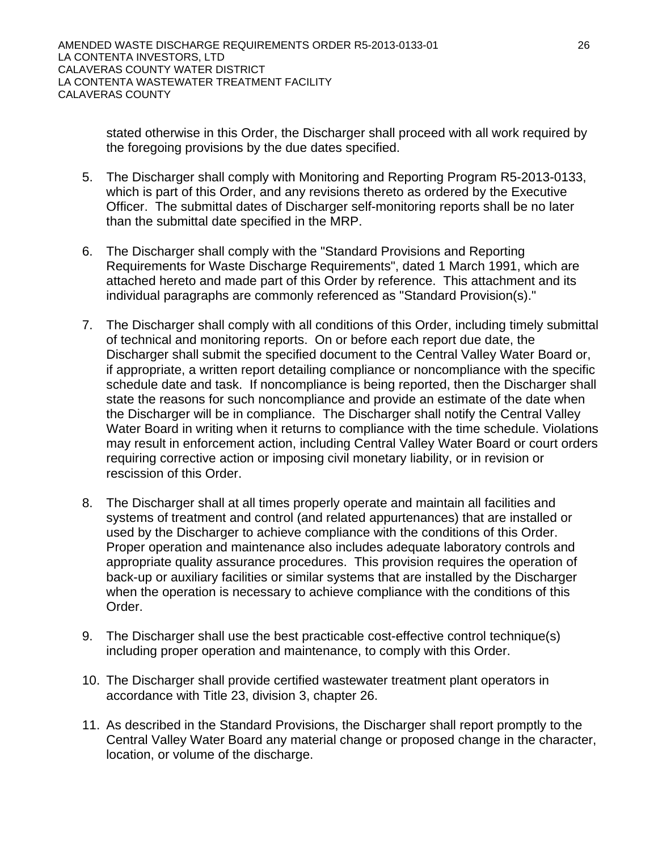stated otherwise in this Order, the Discharger shall proceed with all work required by the foregoing provisions by the due dates specified.

- 5. The Discharger shall comply with Monitoring and Reporting Program R5-2013-0133, which is part of this Order, and any revisions thereto as ordered by the Executive Officer. The submittal dates of Discharger self-monitoring reports shall be no later than the submittal date specified in the MRP.
- 6. The Discharger shall comply with the "Standard Provisions and Reporting Requirements for Waste Discharge Requirements", dated 1 March 1991, which are attached hereto and made part of this Order by reference. This attachment and its individual paragraphs are commonly referenced as "Standard Provision(s)."
- 7. The Discharger shall comply with all conditions of this Order, including timely submittal of technical and monitoring reports. On or before each report due date, the Discharger shall submit the specified document to the Central Valley Water Board or, if appropriate, a written report detailing compliance or noncompliance with the specific schedule date and task. If noncompliance is being reported, then the Discharger shall state the reasons for such noncompliance and provide an estimate of the date when the Discharger will be in compliance. The Discharger shall notify the Central Valley Water Board in writing when it returns to compliance with the time schedule. Violations may result in enforcement action, including Central Valley Water Board or court orders requiring corrective action or imposing civil monetary liability, or in revision or rescission of this Order.
- 8. The Discharger shall at all times properly operate and maintain all facilities and systems of treatment and control (and related appurtenances) that are installed or used by the Discharger to achieve compliance with the conditions of this Order. Proper operation and maintenance also includes adequate laboratory controls and appropriate quality assurance procedures. This provision requires the operation of back-up or auxiliary facilities or similar systems that are installed by the Discharger when the operation is necessary to achieve compliance with the conditions of this Order.
- 9. The Discharger shall use the best practicable cost-effective control technique(s) including proper operation and maintenance, to comply with this Order.
- 10. The Discharger shall provide certified wastewater treatment plant operators in accordance with Title 23, division 3, chapter 26.
- 11. As described in the Standard Provisions, the Discharger shall report promptly to the Central Valley Water Board any material change or proposed change in the character, location, or volume of the discharge.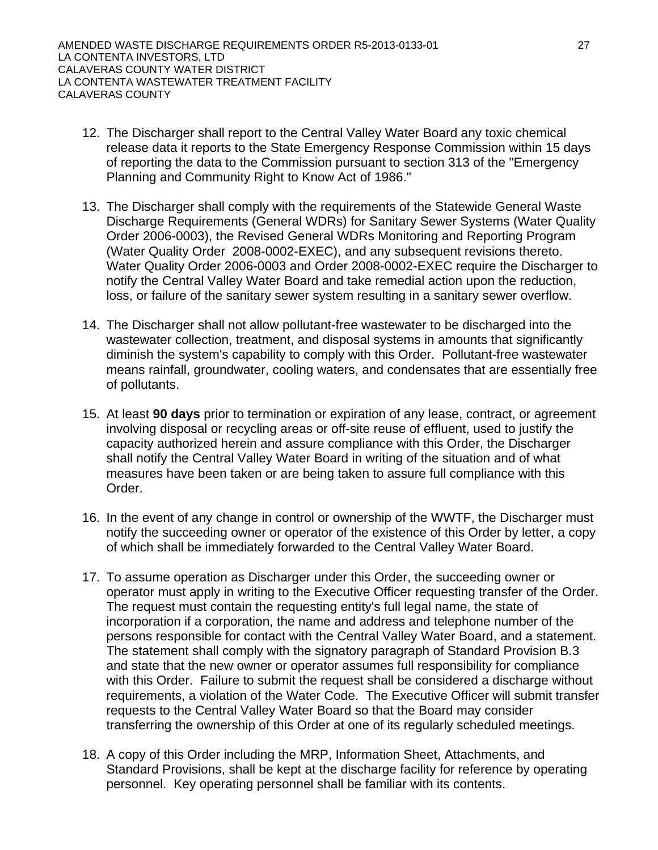- 12. The Discharger shall report to the Central Valley Water Board any toxic chemical release data it reports to the State Emergency Response Commission within 15 days of reporting the data to the Commission pursuant to section 313 of the "Emergency Planning and Community Right to Know Act of 1986."
- 13. The Discharger shall comply with the requirements of the Statewide General Waste Discharge Requirements (General WDRs) for Sanitary Sewer Systems (Water Quality Order 2006-0003), the Revised General WDRs Monitoring and Reporting Program (Water Quality Order 2008-0002-EXEC), and any subsequent revisions thereto. Water Quality Order 2006-0003 and Order 2008-0002-EXEC require the Discharger to notify the Central Valley Water Board and take remedial action upon the reduction, loss, or failure of the sanitary sewer system resulting in a sanitary sewer overflow.
- 14. The Discharger shall not allow pollutant-free wastewater to be discharged into the wastewater collection, treatment, and disposal systems in amounts that significantly diminish the system's capability to comply with this Order. Pollutant-free wastewater means rainfall, groundwater, cooling waters, and condensates that are essentially free of pollutants.
- 15. At least **90 days** prior to termination or expiration of any lease, contract, or agreement involving disposal or recycling areas or off-site reuse of effluent, used to justify the capacity authorized herein and assure compliance with this Order, the Discharger shall notify the Central Valley Water Board in writing of the situation and of what measures have been taken or are being taken to assure full compliance with this Order.
- 16. In the event of any change in control or ownership of the WWTF, the Discharger must notify the succeeding owner or operator of the existence of this Order by letter, a copy of which shall be immediately forwarded to the Central Valley Water Board.
- 17. To assume operation as Discharger under this Order, the succeeding owner or operator must apply in writing to the Executive Officer requesting transfer of the Order. The request must contain the requesting entity's full legal name, the state of incorporation if a corporation, the name and address and telephone number of the persons responsible for contact with the Central Valley Water Board, and a statement. The statement shall comply with the signatory paragraph of Standard Provision B.3 and state that the new owner or operator assumes full responsibility for compliance with this Order. Failure to submit the request shall be considered a discharge without requirements, a violation of the Water Code. The Executive Officer will submit transfer requests to the Central Valley Water Board so that the Board may consider transferring the ownership of this Order at one of its regularly scheduled meetings.
- 18. A copy of this Order including the MRP, Information Sheet, Attachments, and Standard Provisions, shall be kept at the discharge facility for reference by operating personnel. Key operating personnel shall be familiar with its contents.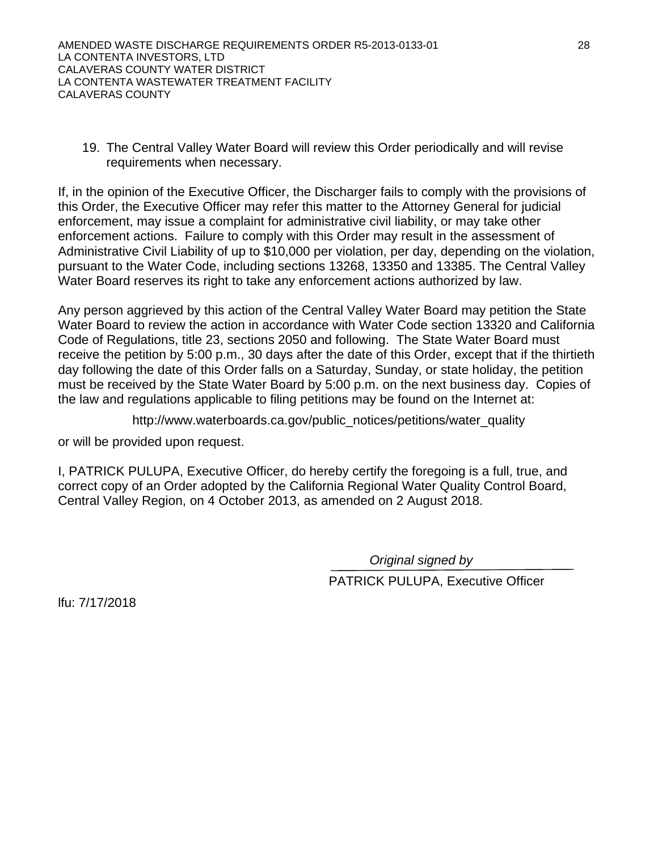19. The Central Valley Water Board will review this Order periodically and will revise requirements when necessary.

If, in the opinion of the Executive Officer, the Discharger fails to comply with the provisions of this Order, the Executive Officer may refer this matter to the Attorney General for judicial enforcement, may issue a complaint for administrative civil liability, or may take other enforcement actions. Failure to comply with this Order may result in the assessment of Administrative Civil Liability of up to \$10,000 per violation, per day, depending on the violation, pursuant to the Water Code, including sections 13268, 13350 and 13385. The Central Valley Water Board reserves its right to take any enforcement actions authorized by law.

Any person aggrieved by this action of the Central Valley Water Board may petition the State Water Board to review the action in accordance with Water Code section 13320 and California Code of Regulations, title 23, sections 2050 and following. The State Water Board must receive the petition by 5:00 p.m., 30 days after the date of this Order, except that if the thirtieth day following the date of this Order falls on a Saturday, Sunday, or state holiday, the petition must be received by the State Water Board by 5:00 p.m. on the next business day. Copies of the law and regulations applicable to filing petitions may be found on the Internet at:

http://www.waterboards.ca.gov/public\_notices/petitions/water\_quality

or will be provided upon request.

I, PATRICK PULUPA, Executive Officer, do hereby certify the foregoing is a full, true, and correct copy of an Order adopted by the California Regional Water Quality Control Board, Central Valley Region, on 4 October 2013, as amended on 2 August 2018.

*Original signed by*

PATRICK PULUPA, Executive Officer

lfu: 7/17/2018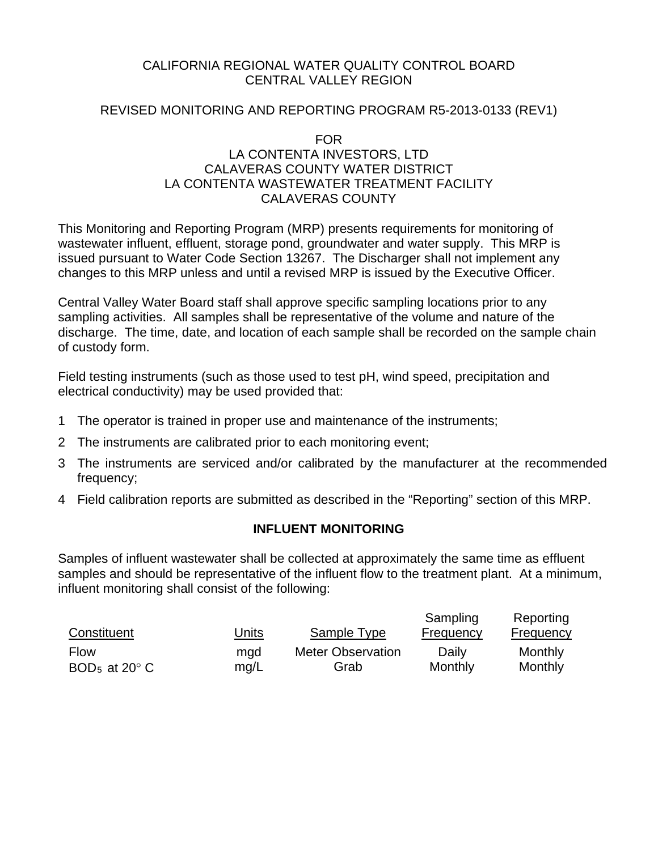# CALIFORNIA REGIONAL WATER QUALITY CONTROL BOARD CENTRAL VALLEY REGION

# REVISED MONITORING AND REPORTING PROGRAM R5-2013-0133 (REV1)

#### FOR

# LA CONTENTA INVESTORS, LTD CALAVERAS COUNTY WATER DISTRICT LA CONTENTA WASTEWATER TREATMENT FACILITY CALAVERAS COUNTY

This Monitoring and Reporting Program (MRP) presents requirements for monitoring of wastewater influent, effluent, storage pond, groundwater and water supply. This MRP is issued pursuant to Water Code Section 13267. The Discharger shall not implement any changes to this MRP unless and until a revised MRP is issued by the Executive Officer.

Central Valley Water Board staff shall approve specific sampling locations prior to any sampling activities. All samples shall be representative of the volume and nature of the discharge. The time, date, and location of each sample shall be recorded on the sample chain of custody form.

Field testing instruments (such as those used to test pH, wind speed, precipitation and electrical conductivity) may be used provided that:

- 1 The operator is trained in proper use and maintenance of the instruments;
- 2 The instruments are calibrated prior to each monitoring event;
- 3 The instruments are serviced and/or calibrated by the manufacturer at the recommended frequency;
- 4 Field calibration reports are submitted as described in the "Reporting" section of this MRP.

# **INFLUENT MONITORING**

Samples of influent wastewater shall be collected at approximately the same time as effluent samples and should be representative of the influent flow to the treatment plant. At a minimum, influent monitoring shall consist of the following:

| Constituent                         | Units | Sample Type              | Sampling<br>Frequency | Reporting<br><b>Frequency</b> |
|-------------------------------------|-------|--------------------------|-----------------------|-------------------------------|
| <b>Flow</b>                         | mgd   | <b>Meter Observation</b> | Daily                 | Monthly                       |
| BOD <sub>5</sub> at 20 $^{\circ}$ C | mq/L  | Grab                     | Monthly               | Monthly                       |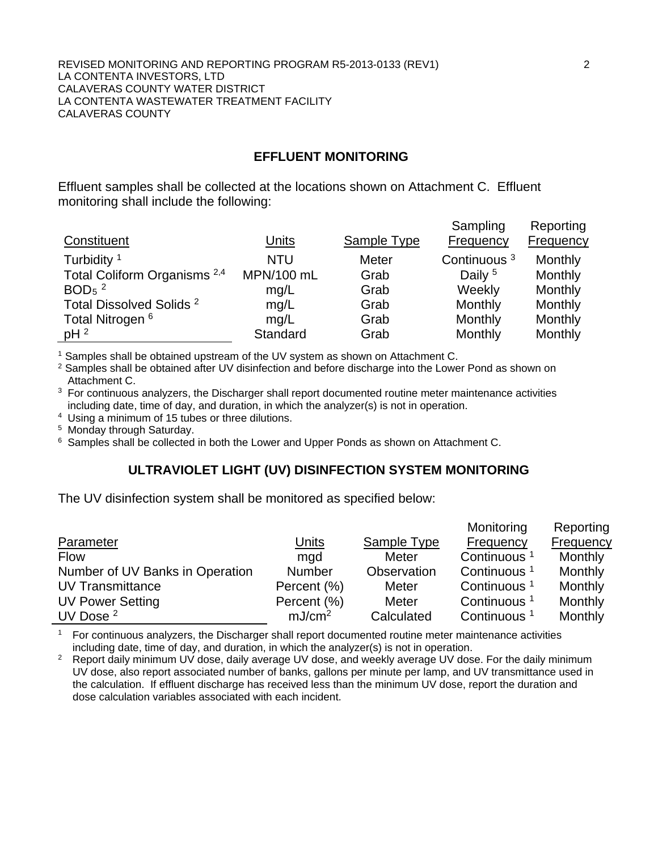#### REVISED MONITORING AND REPORTING PROGRAM R5-2013-0133 (REV1) 2 LA CONTENTA INVESTORS, LTD CALAVERAS COUNTY WATER DISTRICT LA CONTENTA WASTEWATER TREATMENT FACILITY CALAVERAS COUNTY

## **EFFLUENT MONITORING**

Effluent samples shall be collected at the locations shown on Attachment C. Effluent monitoring shall include the following:

| Constituent                             | Units      | Sample Type  | Sampling<br>Frequency   | Reporting<br><b>Frequency</b> |
|-----------------------------------------|------------|--------------|-------------------------|-------------------------------|
| Turbidity <sup>1</sup>                  | <b>NTU</b> | <b>Meter</b> | Continuous <sup>3</sup> | Monthly                       |
| Total Coliform Organisms <sup>2,4</sup> | MPN/100 mL | Grab         | Daily <sup>5</sup>      | Monthly                       |
| BOD <sub>5</sub> $^2$                   | mq/L       | Grab         | Weekly                  | Monthly                       |
| Total Dissolved Solids <sup>2</sup>     | mg/L       | Grab         | Monthly                 | Monthly                       |
| Total Nitrogen <sup>6</sup>             | mq/L       | Grab         | Monthly                 | Monthly                       |
| $pH^2$                                  | Standard   | Grab         | Monthly                 | Monthly                       |

<sup>1</sup> Samples shall be obtained upstream of the UV system as shown on Attachment C.

<sup>2</sup> Samples shall be obtained after UV disinfection and before discharge into the Lower Pond as shown on Attachment C.

 $3$  For continuous analyzers, the Discharger shall report documented routine meter maintenance activities including date, time of day, and duration, in which the analyzer(s) is not in operation.

4 Using a minimum of 15 tubes or three dilutions.

5 Monday through Saturday.

 $6$  Samples shall be collected in both the Lower and Upper Ponds as shown on Attachment C.

#### **ULTRAVIOLET LIGHT (UV) DISINFECTION SYSTEM MONITORING**

The UV disinfection system shall be monitored as specified below:

|                                 |                    |                    | Monitoring              | Reporting        |
|---------------------------------|--------------------|--------------------|-------------------------|------------------|
| Parameter                       | <u>Units</u>       | <b>Sample Type</b> | <b>Frequency</b>        | <b>Frequency</b> |
| <b>Flow</b>                     | mgd                | Meter              | Continuous              | Monthly          |
| Number of UV Banks in Operation | Number             | Observation        | Continuous              | Monthly          |
| <b>UV Transmittance</b>         | Percent (%)        | Meter              | Continuous <sup>1</sup> | Monthly          |
| <b>UV Power Setting</b>         | Percent (%)        | <b>Meter</b>       | Continuous <sup>1</sup> | Monthly          |
| UV Dose $2$                     | mJ/cm <sup>2</sup> | Calculated         | Continuous              | Monthly          |

<sup>1</sup> For continuous analyzers, the Discharger shall report documented routine meter maintenance activities including date, time of day, and duration, in which the analyzer(s) is not in operation.

<sup>2</sup> Report daily minimum UV dose, daily average UV dose, and weekly average UV dose. For the daily minimum UV dose, also report associated number of banks, gallons per minute per lamp, and UV transmittance used in the calculation. If effluent discharge has received less than the minimum UV dose, report the duration and dose calculation variables associated with each incident.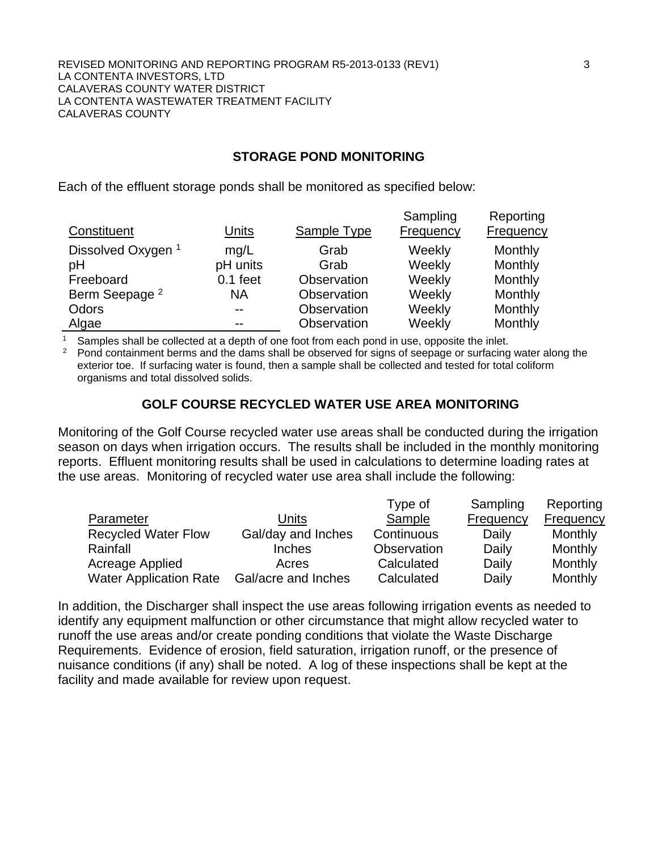# **STORAGE POND MONITORING**

Each of the effluent storage ponds shall be monitored as specified below:

|                               |            |                    | Sampling         | Reporting        |
|-------------------------------|------------|--------------------|------------------|------------------|
| Constituent                   | Units      | <b>Sample Type</b> | <b>Frequency</b> | <b>Frequency</b> |
| Dissolved Oxygen <sup>1</sup> | mg/L       | Grab               | Weekly           | Monthly          |
| рH                            | pH units   | Grab               | Weekly           | Monthly          |
| Freeboard                     | $0.1$ feet | Observation        | Weekly           | Monthly          |
| Berm Seepage <sup>2</sup>     | <b>NA</b>  | Observation        | Weekly           | Monthly          |
| Odors                         | $-$        | Observation        | Weekly           | Monthly          |
| Algae                         | --         | Observation        | Weekly           | Monthly          |

<sup>1</sup> Samples shall be collected at a depth of one foot from each pond in use, opposite the inlet.

<sup>2</sup> Pond containment berms and the dams shall be observed for signs of seepage or surfacing water along the exterior toe. If surfacing water is found, then a sample shall be collected and tested for total coliform organisms and total dissolved solids.

# **GOLF COURSE RECYCLED WATER USE AREA MONITORING**

Monitoring of the Golf Course recycled water use areas shall be conducted during the irrigation season on days when irrigation occurs. The results shall be included in the monthly monitoring reports. Effluent monitoring results shall be used in calculations to determine loading rates at the use areas. Monitoring of recycled water use area shall include the following:

|                               |                     | Type of     | Sampling  | Reporting |
|-------------------------------|---------------------|-------------|-----------|-----------|
| Parameter                     | Units               | Sample      | Frequency | Frequency |
| <b>Recycled Water Flow</b>    | Gal/day and Inches  | Continuous  | Daily     | Monthly   |
| Rainfall                      | <b>Inches</b>       | Observation | Daily     | Monthly   |
| Acreage Applied               | Acres               | Calculated  | Daily     | Monthly   |
| <b>Water Application Rate</b> | Gal/acre and Inches | Calculated  | Daily     | Monthly   |

In addition, the Discharger shall inspect the use areas following irrigation events as needed to identify any equipment malfunction or other circumstance that might allow recycled water to runoff the use areas and/or create ponding conditions that violate the Waste Discharge Requirements. Evidence of erosion, field saturation, irrigation runoff, or the presence of nuisance conditions (if any) shall be noted. A log of these inspections shall be kept at the facility and made available for review upon request.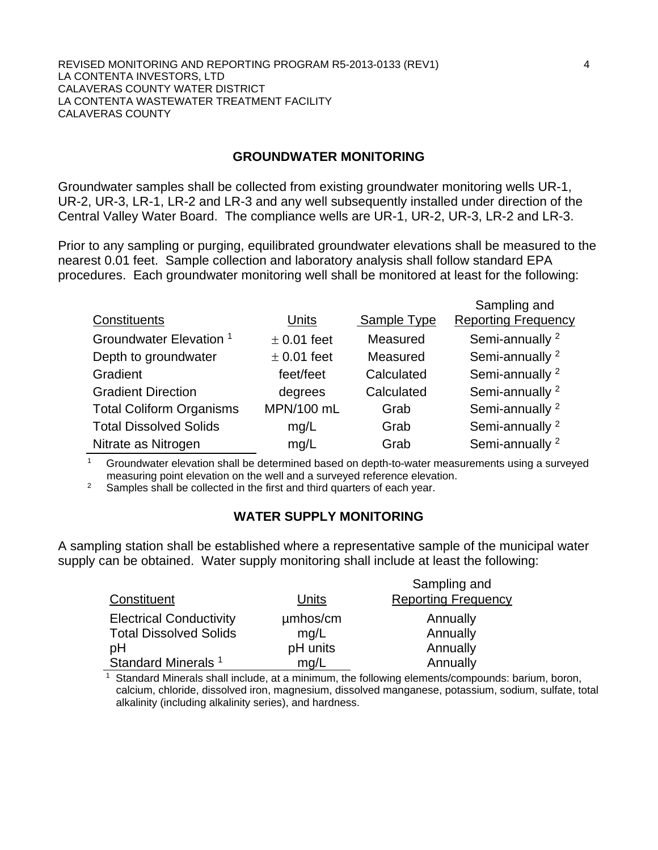#### REVISED MONITORING AND REPORTING PROGRAM R5-2013-0133 (REV1) 4 LA CONTENTA INVESTORS, LTD CALAVERAS COUNTY WATER DISTRICT LA CONTENTA WASTEWATER TREATMENT FACILITY CALAVERAS COUNTY

#### **GROUNDWATER MONITORING**

Groundwater samples shall be collected from existing groundwater monitoring wells UR-1, UR-2, UR-3, LR-1, LR-2 and LR-3 and any well subsequently installed under direction of the Central Valley Water Board. The compliance wells are UR-1, UR-2, UR-3, LR-2 and LR-3.

Prior to any sampling or purging, equilibrated groundwater elevations shall be measured to the nearest 0.01 feet. Sample collection and laboratory analysis shall follow standard EPA procedures. Each groundwater monitoring well shall be monitored at least for the following:

|                                    |                 |             | Sampling and               |
|------------------------------------|-----------------|-------------|----------------------------|
| Constituents                       | Units           | Sample Type | <b>Reporting Frequency</b> |
| Groundwater Elevation <sup>1</sup> | $\pm$ 0.01 feet | Measured    | Semi-annually <sup>2</sup> |
| Depth to groundwater               | $\pm$ 0.01 feet | Measured    | Semi-annually <sup>2</sup> |
| Gradient                           | feet/feet       | Calculated  | Semi-annually <sup>2</sup> |
| <b>Gradient Direction</b>          | degrees         | Calculated  | Semi-annually <sup>2</sup> |
| <b>Total Coliform Organisms</b>    | MPN/100 mL      | Grab        | Semi-annually <sup>2</sup> |
| <b>Total Dissolved Solids</b>      | mg/L            | Grab        | Semi-annually <sup>2</sup> |
| Nitrate as Nitrogen                | mg/L            | Grab        | Semi-annually <sup>2</sup> |

<sup>1</sup> Groundwater elevation shall be determined based on depth-to-water measurements using a surveyed measuring point elevation on the well and a surveyed reference elevation.

<sup>2</sup> Samples shall be collected in the first and third quarters of each year.

# **WATER SUPPLY MONITORING**

A sampling station shall be established where a representative sample of the municipal water supply can be obtained. Water supply monitoring shall include at least the following:

| Constituent                    | Units    | Sampling and<br><b>Reporting Frequency</b> |
|--------------------------------|----------|--------------------------------------------|
|                                |          |                                            |
| <b>Electrical Conductivity</b> | umhos/cm | Annually                                   |
| <b>Total Dissolved Solids</b>  | mq/L     | Annually                                   |
| pH                             | pH units | Annually                                   |
| Standard Minerals <sup>1</sup> | mq/L     | Annually                                   |

<sup>1</sup> Standard Minerals shall include, at a minimum, the following elements/compounds: barium, boron, calcium, chloride, dissolved iron, magnesium, dissolved manganese, potassium, sodium, sulfate, total alkalinity (including alkalinity series), and hardness.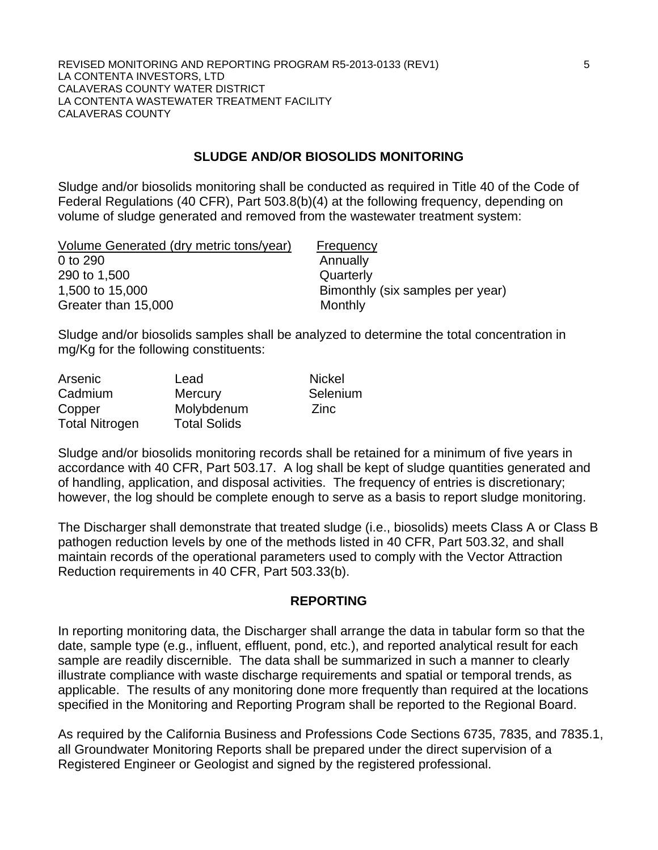## **SLUDGE AND/OR BIOSOLIDS MONITORING**

Sludge and/or biosolids monitoring shall be conducted as required in Title 40 of the Code of Federal Regulations (40 CFR), Part 503.8(b)(4) at the following frequency, depending on volume of sludge generated and removed from the wastewater treatment system:

| Volume Generated (dry metric tons/year) | Frequency                        |
|-----------------------------------------|----------------------------------|
| 0 to 290                                | Annually                         |
| 290 to 1,500                            | Quarterly                        |
| 1,500 to 15,000                         | Bimonthly (six samples per year) |
| Greater than 15,000                     | Monthly                          |
|                                         |                                  |

Sludge and/or biosolids samples shall be analyzed to determine the total concentration in mg/Kg for the following constituents:

| Arsenic               | Lead                | <b>Nickel</b> |
|-----------------------|---------------------|---------------|
| Cadmium               | <b>Mercury</b>      | Selenium      |
| Copper                | Molybdenum          | Zinc          |
| <b>Total Nitrogen</b> | <b>Total Solids</b> |               |

Sludge and/or biosolids monitoring records shall be retained for a minimum of five years in accordance with 40 CFR, Part 503.17. A log shall be kept of sludge quantities generated and of handling, application, and disposal activities. The frequency of entries is discretionary; however, the log should be complete enough to serve as a basis to report sludge monitoring.

The Discharger shall demonstrate that treated sludge (i.e., biosolids) meets Class A or Class B pathogen reduction levels by one of the methods listed in 40 CFR, Part 503.32, and shall maintain records of the operational parameters used to comply with the Vector Attraction Reduction requirements in 40 CFR, Part 503.33(b).

#### **REPORTING**

In reporting monitoring data, the Discharger shall arrange the data in tabular form so that the date, sample type (e.g., influent, effluent, pond, etc.), and reported analytical result for each sample are readily discernible. The data shall be summarized in such a manner to clearly illustrate compliance with waste discharge requirements and spatial or temporal trends, as applicable. The results of any monitoring done more frequently than required at the locations specified in the Monitoring and Reporting Program shall be reported to the Regional Board.

As required by the California Business and Professions Code Sections 6735, 7835, and 7835.1, all Groundwater Monitoring Reports shall be prepared under the direct supervision of a Registered Engineer or Geologist and signed by the registered professional.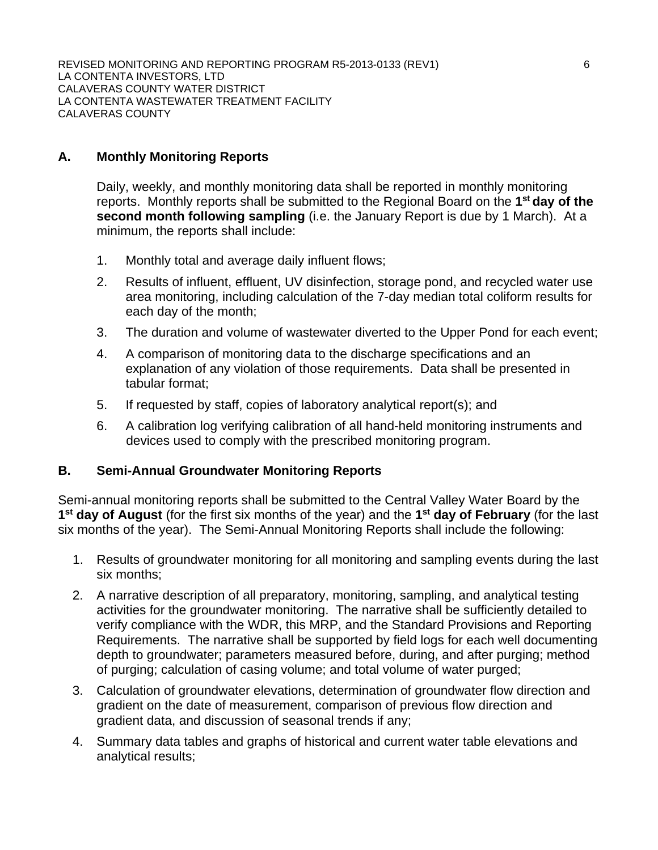REVISED MONITORING AND REPORTING PROGRAM R5-2013-0133 (REV1) 6 LA CONTENTA INVESTORS, LTD CALAVERAS COUNTY WATER DISTRICT LA CONTENTA WASTEWATER TREATMENT FACILITY CALAVERAS COUNTY

# **A. Monthly Monitoring Reports**

Daily, weekly, and monthly monitoring data shall be reported in monthly monitoring reports. Monthly reports shall be submitted to the Regional Board on the **1st day of the second month following sampling** (i.e. the January Report is due by 1 March). At a minimum, the reports shall include:

- 1. Monthly total and average daily influent flows;
- 2. Results of influent, effluent, UV disinfection, storage pond, and recycled water use area monitoring, including calculation of the 7-day median total coliform results for each day of the month;
- 3. The duration and volume of wastewater diverted to the Upper Pond for each event;
- 4. A comparison of monitoring data to the discharge specifications and an explanation of any violation of those requirements. Data shall be presented in tabular format;
- 5. If requested by staff, copies of laboratory analytical report(s); and
- 6. A calibration log verifying calibration of all hand-held monitoring instruments and devices used to comply with the prescribed monitoring program.

#### **B. Semi-Annual Groundwater Monitoring Reports**

Semi-annual monitoring reports shall be submitted to the Central Valley Water Board by the **1st day of August** (for the first six months of the year) and the **1st day of February** (for the last six months of the year). The Semi-Annual Monitoring Reports shall include the following:

- 1. Results of groundwater monitoring for all monitoring and sampling events during the last six months;
- 2. A narrative description of all preparatory, monitoring, sampling, and analytical testing activities for the groundwater monitoring. The narrative shall be sufficiently detailed to verify compliance with the WDR, this MRP, and the Standard Provisions and Reporting Requirements. The narrative shall be supported by field logs for each well documenting depth to groundwater; parameters measured before, during, and after purging; method of purging; calculation of casing volume; and total volume of water purged;
- 3. Calculation of groundwater elevations, determination of groundwater flow direction and gradient on the date of measurement, comparison of previous flow direction and gradient data, and discussion of seasonal trends if any;
- 4. Summary data tables and graphs of historical and current water table elevations and analytical results;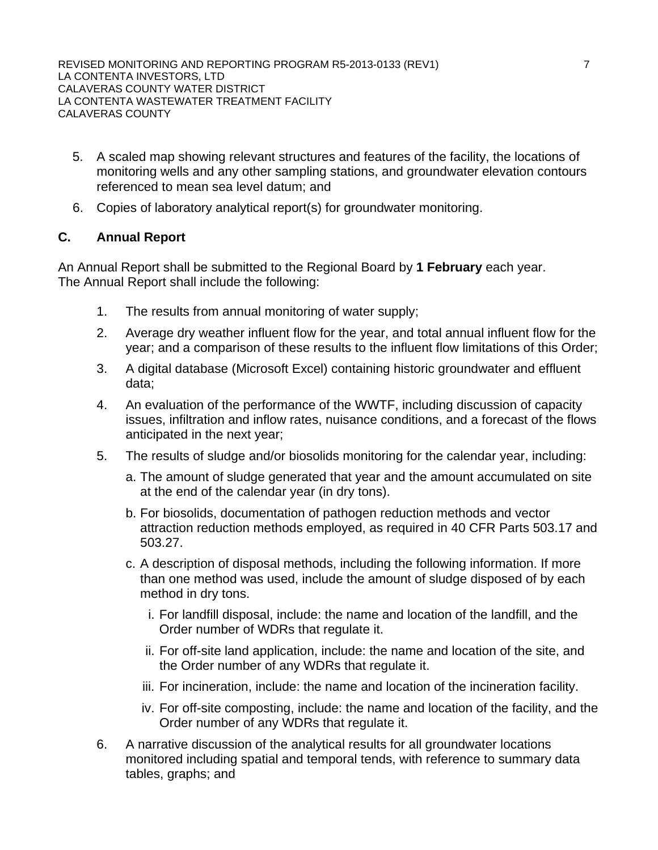- 5. A scaled map showing relevant structures and features of the facility, the locations of monitoring wells and any other sampling stations, and groundwater elevation contours referenced to mean sea level datum; and
- 6. Copies of laboratory analytical report(s) for groundwater monitoring.

# **C. Annual Report**

An Annual Report shall be submitted to the Regional Board by **1 February** each year. The Annual Report shall include the following:

- 1. The results from annual monitoring of water supply;
- 2. Average dry weather influent flow for the year, and total annual influent flow for the year; and a comparison of these results to the influent flow limitations of this Order;
- 3. A digital database (Microsoft Excel) containing historic groundwater and effluent data;
- 4. An evaluation of the performance of the WWTF, including discussion of capacity issues, infiltration and inflow rates, nuisance conditions, and a forecast of the flows anticipated in the next year;
- 5. The results of sludge and/or biosolids monitoring for the calendar year, including:
	- a. The amount of sludge generated that year and the amount accumulated on site at the end of the calendar year (in dry tons).
	- b. For biosolids, documentation of pathogen reduction methods and vector attraction reduction methods employed, as required in 40 CFR Parts 503.17 and 503.27.
	- c. A description of disposal methods, including the following information. If more than one method was used, include the amount of sludge disposed of by each method in dry tons.
		- i. For landfill disposal, include: the name and location of the landfill, and the Order number of WDRs that regulate it.
		- ii. For off-site land application, include: the name and location of the site, and the Order number of any WDRs that regulate it.
		- iii. For incineration, include: the name and location of the incineration facility.
		- iv. For off-site composting, include: the name and location of the facility, and the Order number of any WDRs that regulate it.
- 6. A narrative discussion of the analytical results for all groundwater locations monitored including spatial and temporal tends, with reference to summary data tables, graphs; and